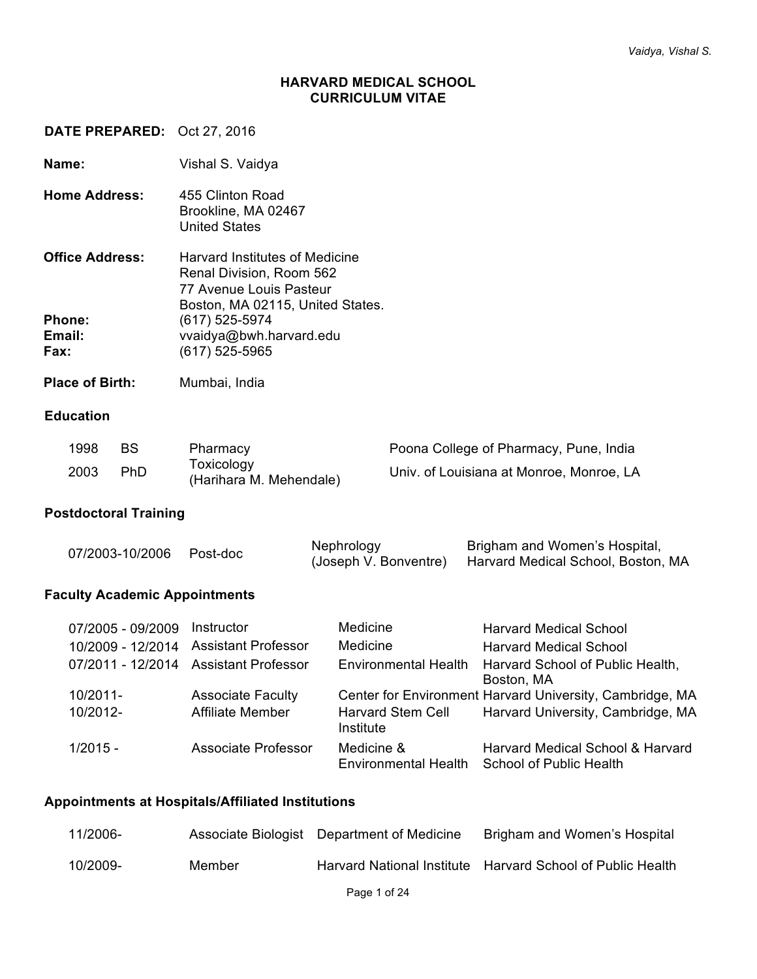#### **HARVARD MEDICAL SCHOOL CURRICULUM VITAE**

**DATE PREPARED:** Oct 27, 2016

**Name:** Vishal S. Vaidya

**Home Address:** 455 Clinton Road Brookline, MA 02467 United States

| <b>Office Address:</b> | <b>Harvard Institutes of Medicine</b><br>Renal Division, Room 562<br>77 Avenue Louis Pasteur |
|------------------------|----------------------------------------------------------------------------------------------|
| <b>Phone:</b>          | Boston, MA 02115, United States.<br>(617) 525-5974                                           |
| Email:<br>Fax:         | vvaidya@bwh.harvard.edu<br>$(617)$ 525-5965                                                  |

Place of Birth: Mumbai, India

### **Education**

| 1998 | <b>BS</b>  | Pharmacy                              | Poona College of Pharmacy, Pune, India   |
|------|------------|---------------------------------------|------------------------------------------|
| 2003 | <b>PhD</b> | Toxicology<br>(Harihara M. Mehendale) | Univ. of Louisiana at Monroe, Monroe, LA |

#### **Postdoctoral Training**

|  | 07/2003-10/2006 Post-doc | Nephrology | Brigham and Women's Hospital,                            |
|--|--------------------------|------------|----------------------------------------------------------|
|  |                          |            | (Joseph V. Bonventre) Harvard Medical School, Boston, MA |

# **Faculty Academic Appointments**

| 07/2005 - 09/2009 | Instructor                            | Medicine                                  | <b>Harvard Medical School</b>                                      |
|-------------------|---------------------------------------|-------------------------------------------|--------------------------------------------------------------------|
| 10/2009 - 12/2014 | <b>Assistant Professor</b>            | Medicine                                  | <b>Harvard Medical School</b>                                      |
|                   | 07/2011 - 12/2014 Assistant Professor | <b>Environmental Health</b>               | Harvard School of Public Health,<br>Boston, MA                     |
| $10/2011 -$       | <b>Associate Faculty</b>              |                                           | Center for Environment Harvard University, Cambridge, MA           |
| 10/2012-          | <b>Affiliate Member</b>               | <b>Harvard Stem Cell</b><br>Institute     | Harvard University, Cambridge, MA                                  |
| $1/2015 -$        | Associate Professor                   | Medicine &<br><b>Environmental Health</b> | Harvard Medical School & Harvard<br><b>School of Public Health</b> |

#### **Appointments at Hospitals/Affiliated Institutions**

| 11/2006- |        | Associate Biologist Department of Medicine | Brigham and Women's Hospital                               |
|----------|--------|--------------------------------------------|------------------------------------------------------------|
| 10/2009- | Member |                                            | Harvard National Institute Harvard School of Public Health |
|          |        | Page 1 of 24                               |                                                            |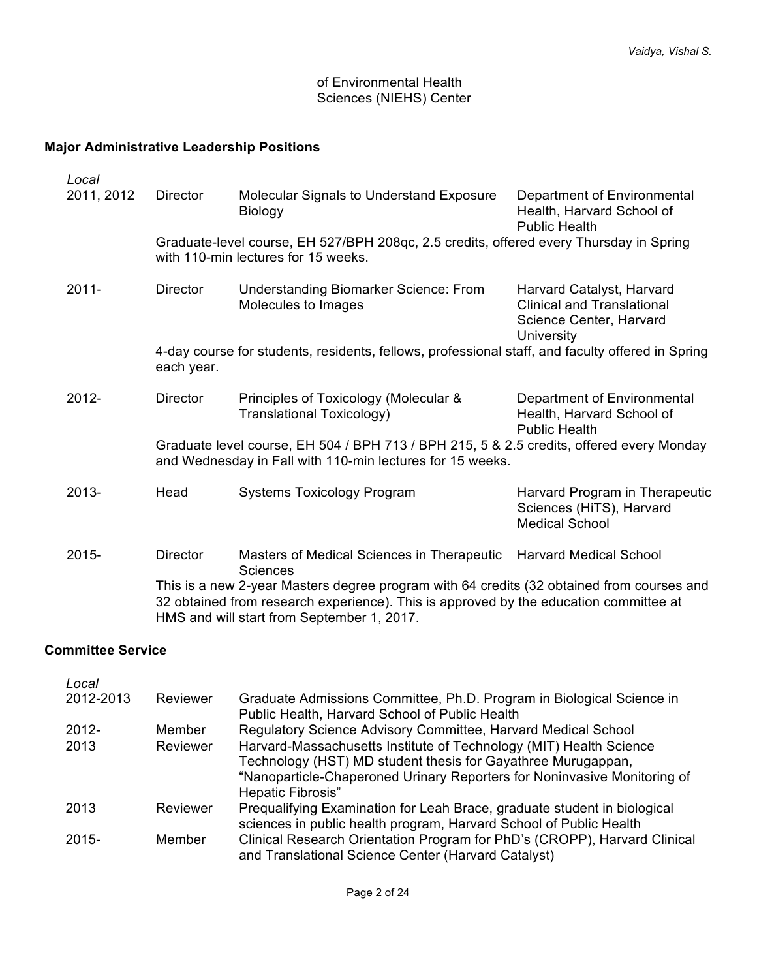# of Environmental Health Sciences (NIEHS) Center

# **Major Administrative Leadership Positions**

| Local                               |                                                                                                                                                       |                                                                                                                                                                                                                                  |                                                                                                         |  |
|-------------------------------------|-------------------------------------------------------------------------------------------------------------------------------------------------------|----------------------------------------------------------------------------------------------------------------------------------------------------------------------------------------------------------------------------------|---------------------------------------------------------------------------------------------------------|--|
| 2011, 2012                          | <b>Director</b>                                                                                                                                       | Molecular Signals to Understand Exposure<br><b>Biology</b>                                                                                                                                                                       | Department of Environmental<br>Health, Harvard School of<br><b>Public Health</b>                        |  |
| with 110-min lectures for 15 weeks. |                                                                                                                                                       | Graduate-level course, EH 527/BPH 208qc, 2.5 credits, offered every Thursday in Spring                                                                                                                                           |                                                                                                         |  |
| $2011 -$                            | <b>Director</b>                                                                                                                                       | <b>Understanding Biomarker Science: From</b><br>Molecules to Images                                                                                                                                                              | Harvard Catalyst, Harvard<br><b>Clinical and Translational</b><br>Science Center, Harvard<br>University |  |
|                                     | each year.                                                                                                                                            | 4-day course for students, residents, fellows, professional staff, and faculty offered in Spring                                                                                                                                 |                                                                                                         |  |
| $2012 -$                            | <b>Director</b>                                                                                                                                       | Principles of Toxicology (Molecular &<br>Translational Toxicology)                                                                                                                                                               | Department of Environmental<br>Health, Harvard School of<br><b>Public Health</b>                        |  |
|                                     | Graduate level course, EH 504 / BPH 713 / BPH 215, 5 & 2.5 credits, offered every Monday<br>and Wednesday in Fall with 110-min lectures for 15 weeks. |                                                                                                                                                                                                                                  |                                                                                                         |  |
| 2013-                               | Head                                                                                                                                                  | <b>Systems Toxicology Program</b>                                                                                                                                                                                                | Harvard Program in Therapeutic<br>Sciences (HiTS), Harvard<br><b>Medical School</b>                     |  |
| 2015-                               | <b>Director</b>                                                                                                                                       | Masters of Medical Sciences in Therapeutic<br><b>Sciences</b>                                                                                                                                                                    | <b>Harvard Medical School</b>                                                                           |  |
|                                     |                                                                                                                                                       | This is a new 2-year Masters degree program with 64 credits (32 obtained from courses and<br>32 obtained from research experience). This is approved by the education committee at<br>HMS and will start from September 1, 2017. |                                                                                                         |  |

#### **Committee Service**

| Local     |          |                                                                                                                                                                                                                                     |
|-----------|----------|-------------------------------------------------------------------------------------------------------------------------------------------------------------------------------------------------------------------------------------|
| 2012-2013 | Reviewer | Graduate Admissions Committee, Ph.D. Program in Biological Science in<br>Public Health, Harvard School of Public Health                                                                                                             |
| $2012 -$  | Member   | Regulatory Science Advisory Committee, Harvard Medical School                                                                                                                                                                       |
| 2013      | Reviewer | Harvard-Massachusetts Institute of Technology (MIT) Health Science<br>Technology (HST) MD student thesis for Gayathree Murugappan,<br>"Nanoparticle-Chaperoned Urinary Reporters for Noninvasive Monitoring of<br>Hepatic Fibrosis" |
| 2013      | Reviewer | Prequalifying Examination for Leah Brace, graduate student in biological<br>sciences in public health program, Harvard School of Public Health                                                                                      |
| $2015 -$  | Member   | Clinical Research Orientation Program for PhD's (CROPP), Harvard Clinical<br>and Translational Science Center (Harvard Catalyst)                                                                                                    |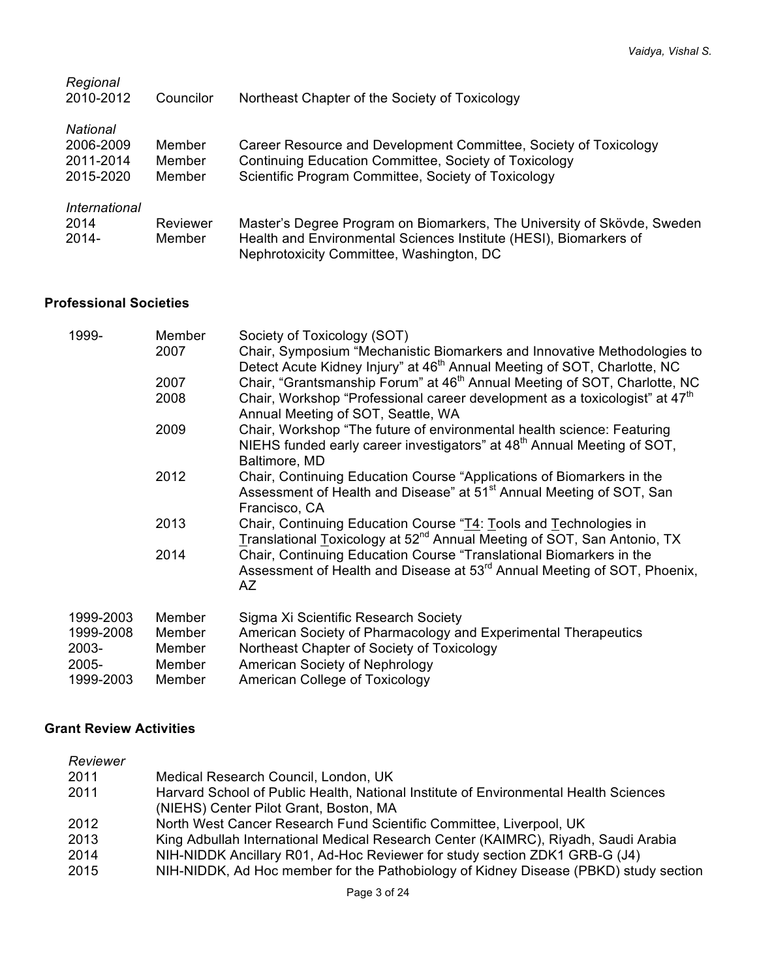| Regional<br>2010-2012                           | Councilor                  | Northeast Chapter of the Society of Toxicology                                                                                                                                           |
|-------------------------------------------------|----------------------------|------------------------------------------------------------------------------------------------------------------------------------------------------------------------------------------|
| National<br>2006-2009<br>2011-2014<br>2015-2020 | Member<br>Member<br>Member | Career Resource and Development Committee, Society of Toxicology<br>Continuing Education Committee, Society of Toxicology<br>Scientific Program Committee, Society of Toxicology         |
| International<br>2014<br>2014-                  | Reviewer<br>Member         | Master's Degree Program on Biomarkers, The University of Skövde, Sweden<br>Health and Environmental Sciences Institute (HESI), Biomarkers of<br>Nephrotoxicity Committee, Washington, DC |

# **Professional Societies**

| 1999-<br>Member<br>2007 |        | Society of Toxicology (SOT)<br>Chair, Symposium "Mechanistic Biomarkers and Innovative Methodologies to<br>Detect Acute Kidney Injury" at 46 <sup>th</sup> Annual Meeting of SOT, Charlotte, NC |
|-------------------------|--------|-------------------------------------------------------------------------------------------------------------------------------------------------------------------------------------------------|
|                         | 2007   | Chair, "Grantsmanship Forum" at 46 <sup>th</sup> Annual Meeting of SOT, Charlotte, NC                                                                                                           |
|                         | 2008   | Chair, Workshop "Professional career development as a toxicologist" at 47 <sup>th</sup><br>Annual Meeting of SOT, Seattle, WA                                                                   |
|                         | 2009   | Chair, Workshop "The future of environmental health science: Featuring<br>NIEHS funded early career investigators" at 48 <sup>th</sup> Annual Meeting of SOT,<br>Baltimore, MD                  |
|                         | 2012   | Chair, Continuing Education Course "Applications of Biomarkers in the<br>Assessment of Health and Disease" at 51 <sup>st</sup> Annual Meeting of SOT, San<br>Francisco, CA                      |
|                         | 2013   | Chair, Continuing Education Course "T4: Tools and Technologies in<br>Translational Toxicology at 52 <sup>nd</sup> Annual Meeting of SOT, San Antonio, TX                                        |
|                         | 2014   | Chair, Continuing Education Course "Translational Biomarkers in the<br>Assessment of Health and Disease at 53 <sup>rd</sup> Annual Meeting of SOT, Phoenix,<br>AZ                               |
| 1999-2003               | Member | Sigma Xi Scientific Research Society                                                                                                                                                            |
| 1999-2008               | Member | American Society of Pharmacology and Experimental Therapeutics                                                                                                                                  |
| 2003-                   | Member | Northeast Chapter of Society of Toxicology                                                                                                                                                      |
| 2005-                   | Member | American Society of Nephrology                                                                                                                                                                  |
| 1999-2003               | Member | American College of Toxicology                                                                                                                                                                  |

# **Grant Review Activities**

| Reviewer |                                                                                      |
|----------|--------------------------------------------------------------------------------------|
| 2011     | Medical Research Council, London, UK                                                 |
| 2011     | Harvard School of Public Health, National Institute of Environmental Health Sciences |
|          | (NIEHS) Center Pilot Grant, Boston, MA                                               |
| 2012     | North West Cancer Research Fund Scientific Committee, Liverpool, UK                  |
| 2013     | King Adbullah International Medical Research Center (KAIMRC), Riyadh, Saudi Arabia   |
| 2014     | NIH-NIDDK Ancillary R01, Ad-Hoc Reviewer for study section ZDK1 GRB-G (J4)           |
| 2015     | NIH-NIDDK, Ad Hoc member for the Pathobiology of Kidney Disease (PBKD) study section |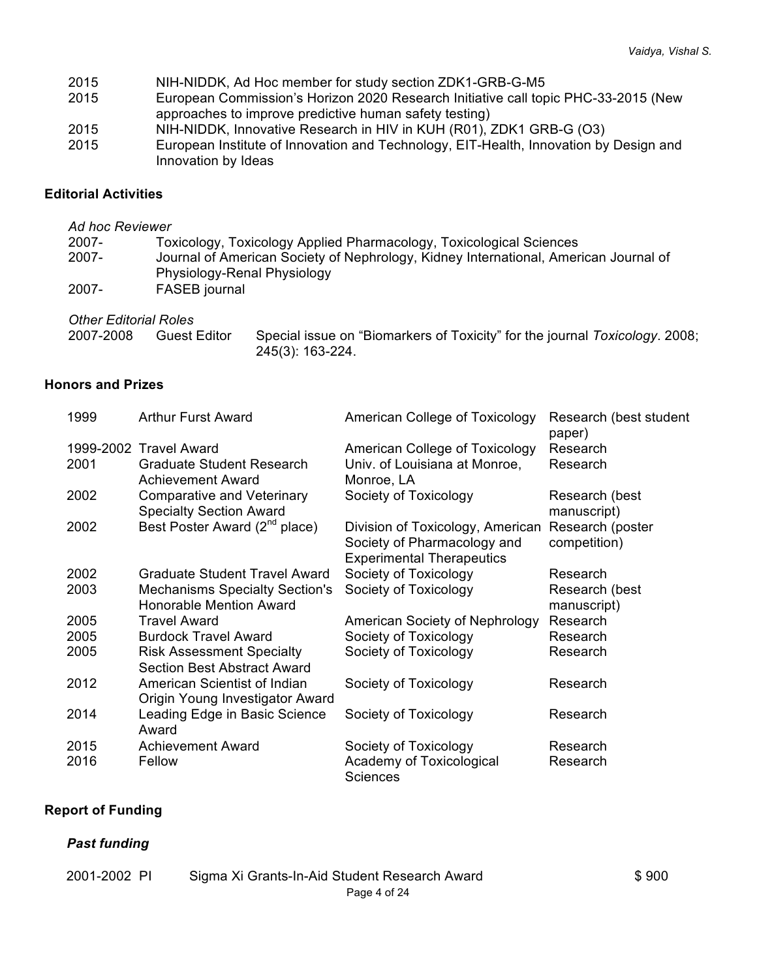- 2015 NIH-NIDDK, Ad Hoc member for study section ZDK1-GRB-G-M5
- 2015 European Commission's Horizon 2020 Research Initiative call topic PHC-33-2015 (New approaches to improve predictive human safety testing)
- 2015 NIH-NIDDK, Innovative Research in HIV in KUH (R01), ZDK1 GRB-G (O3)
- 2015 European Institute of Innovation and Technology, EIT-Health, Innovation by Design and Innovation by Ideas

### **Editorial Activities**

# *Ad hoc Reviewer* 2007- Toxicology, Toxicology Applied Pharmacology, Toxicological Sciences 2007- Journal of American Society of Nephrology, Kidney International, American Journal of Physiology-Renal Physiology 2007- FASEB journal *Other Editorial Roles*

| <i><b>UTHEL EQITOLIAL ROIES</b></i> |                                                                             |
|-------------------------------------|-----------------------------------------------------------------------------|
| 2007-2008                           | Special issue on "Biomarkers of Toxicity" for the journal Toxicology. 2008; |
| Guest Editor                        | 245(3): 163-224.                                                            |

### **Honors and Prizes**

| 1999 | <b>Arthur Furst Award</b>                                               | American College of Toxicology                                                                      | Research (best student<br>paper) |
|------|-------------------------------------------------------------------------|-----------------------------------------------------------------------------------------------------|----------------------------------|
|      | 1999-2002 Travel Award                                                  | American College of Toxicology                                                                      | Research                         |
| 2001 | <b>Graduate Student Research</b><br><b>Achievement Award</b>            | Univ. of Louisiana at Monroe,<br>Monroe, LA                                                         | Research                         |
| 2002 | <b>Comparative and Veterinary</b><br><b>Specialty Section Award</b>     | Society of Toxicology                                                                               | Research (best<br>manuscript)    |
| 2002 | Best Poster Award (2 <sup>nd</sup> place)                               | Division of Toxicology, American<br>Society of Pharmacology and<br><b>Experimental Therapeutics</b> | Research (poster<br>competition) |
| 2002 | Graduate Student Travel Award                                           | Society of Toxicology                                                                               | Research                         |
| 2003 | <b>Mechanisms Specialty Section's</b><br><b>Honorable Mention Award</b> | Society of Toxicology                                                                               | Research (best<br>manuscript)    |
| 2005 | <b>Travel Award</b>                                                     | American Society of Nephrology                                                                      | Research                         |
| 2005 | <b>Burdock Travel Award</b>                                             | Society of Toxicology                                                                               | Research                         |
| 2005 | <b>Risk Assessment Specialty</b><br><b>Section Best Abstract Award</b>  | Society of Toxicology                                                                               | Research                         |
| 2012 | American Scientist of Indian<br>Origin Young Investigator Award         | Society of Toxicology                                                                               | Research                         |
| 2014 | Leading Edge in Basic Science<br>Award                                  | Society of Toxicology                                                                               | Research                         |
| 2015 | Achievement Award                                                       | Society of Toxicology                                                                               | Research                         |
| 2016 | Fellow                                                                  | Academy of Toxicological<br>Sciences                                                                | Research                         |

### **Report of Funding**

### *Past funding*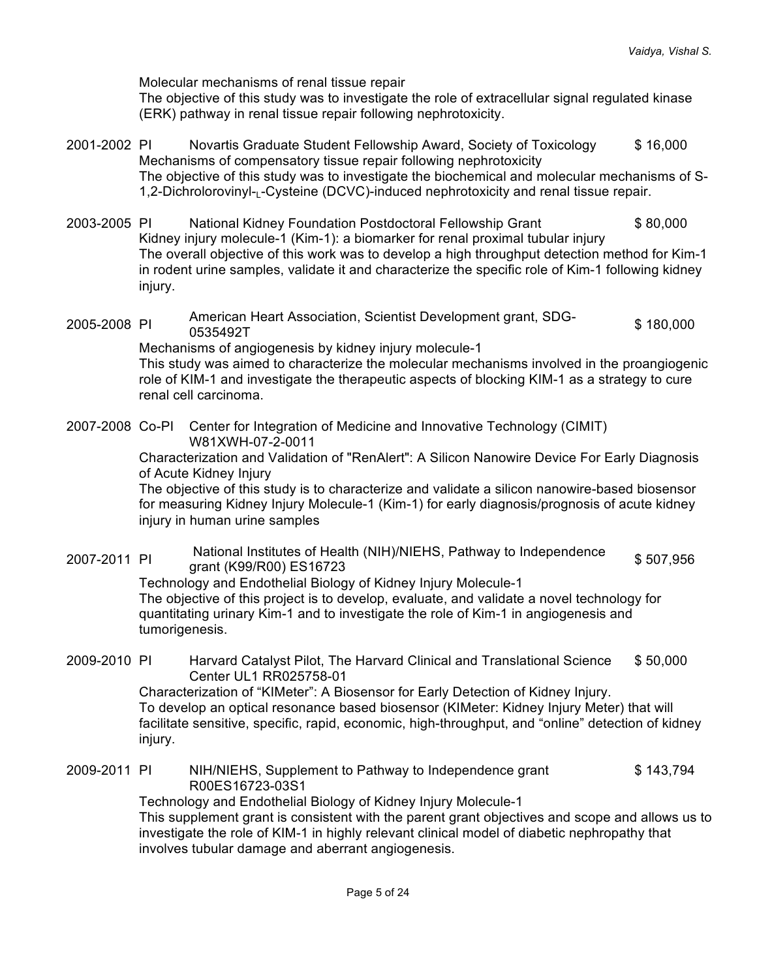Molecular mechanisms of renal tissue repair

The objective of this study was to investigate the role of extracellular signal regulated kinase (ERK) pathway in renal tissue repair following nephrotoxicity.

- 2001-2002 PI Novartis Graduate Student Fellowship Award, Society of Toxicology \$ 16,000 Mechanisms of compensatory tissue repair following nephrotoxicity The objective of this study was to investigate the biochemical and molecular mechanisms of S-1.2-Dichrolorovinyl-L-Cysteine (DCVC)-induced nephrotoxicity and renal tissue repair.
- 2003-2005 PI National Kidney Foundation Postdoctoral Fellowship Grant \$ 80,000 Kidney injury molecule-1 (Kim-1): a biomarker for renal proximal tubular injury The overall objective of this work was to develop a high throughput detection method for Kim-1 in rodent urine samples, validate it and characterize the specific role of Kim-1 following kidney injury.
- 2005-2008 PI American Heart Association, Scientist Development grant, SDG-0535492T \$ 180,000

Mechanisms of angiogenesis by kidney injury molecule-1 This study was aimed to characterize the molecular mechanisms involved in the proangiogenic role of KIM-1 and investigate the therapeutic aspects of blocking KIM-1 as a strategy to cure renal cell carcinoma.

2007-2008 Co-PI Center for Integration of Medicine and Innovative Technology (CIMIT) W81XWH-07-2-0011

Characterization and Validation of "RenAlert": A Silicon Nanowire Device For Early Diagnosis of Acute Kidney Injury

The objective of this study is to characterize and validate a silicon nanowire-based biosensor for measuring Kidney Injury Molecule-1 (Kim-1) for early diagnosis/prognosis of acute kidney injury in human urine samples

2007-2011 PI National Institutes of Health (NIH)/NIEHS, Pathway to Independence readorial filstitutes of Health (NIH)/NIEHS, Patriway to independence  $$507,956$ <br>grant (K99/R00) ES16723

Technology and Endothelial Biology of Kidney Injury Molecule-1 The objective of this project is to develop, evaluate, and validate a novel technology for quantitating urinary Kim-1 and to investigate the role of Kim-1 in angiogenesis and tumorigenesis.

2009-2010 PI Harvard Catalyst Pilot, The Harvard Clinical and Translational Science Center UL1 RR025758-01 \$ 50,000

> Characterization of "KIMeter": A Biosensor for Early Detection of Kidney Injury. To develop an optical resonance based biosensor (KIMeter: Kidney Injury Meter) that will facilitate sensitive, specific, rapid, economic, high-throughput, and "online" detection of kidney injury.

2009-2011 PI NIH/NIEHS, Supplement to Pathway to Independence grant R00ES16723-03S1 \$ 143,794

Technology and Endothelial Biology of Kidney Injury Molecule-1 This supplement grant is consistent with the parent grant objectives and scope and allows us to investigate the role of KIM-1 in highly relevant clinical model of diabetic nephropathy that involves tubular damage and aberrant angiogenesis.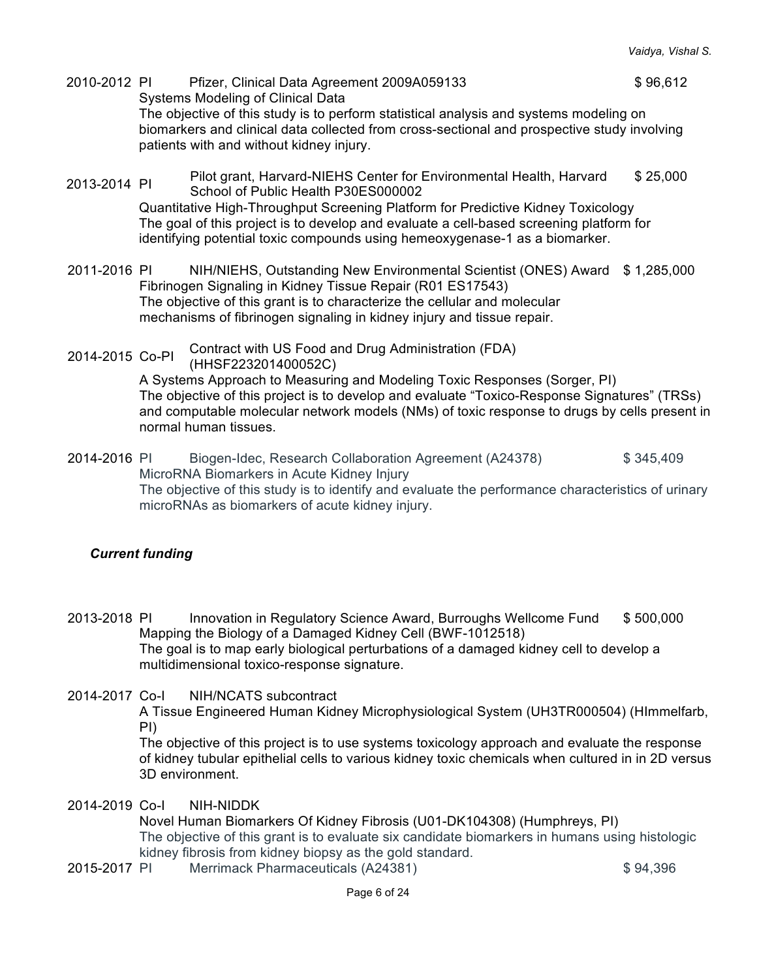- 2010-2012 PI Pfizer, Clinical Data Agreement 2009A059133 \$ 96,612 Systems Modeling of Clinical Data The objective of this study is to perform statistical analysis and systems modeling on biomarkers and clinical data collected from cross-sectional and prospective study involving patients with and without kidney injury.
- 2013-2014 PI Pilot grant, Harvard-NIEHS Center for Environmental Health, Harvard School of Public Health P30ES000002 \$ 25,000

Quantitative High-Throughput Screening Platform for Predictive Kidney Toxicology The goal of this project is to develop and evaluate a cell-based screening platform for identifying potential toxic compounds using hemeoxygenase-1 as a biomarker.

- 2011-2016 PI NIH/NIEHS, Outstanding New Environmental Scientist (ONES) Award \$ 1,285,000 Fibrinogen Signaling in Kidney Tissue Repair (R01 ES17543) The objective of this grant is to characterize the cellular and molecular mechanisms of fibrinogen signaling in kidney injury and tissue repair.
- 2014-2015 Co-PI Contract with US Food and Drug Administration (FDA) (HHSF223201400052C)

A Systems Approach to Measuring and Modeling Toxic Responses (Sorger, PI) The objective of this project is to develop and evaluate "Toxico-Response Signatures" (TRSs) and computable molecular network models (NMs) of toxic response to drugs by cells present in normal human tissues.

2014-2016 PI Biogen-Idec, Research Collaboration Agreement (A24378) \$ 345,409 MicroRNA Biomarkers in Acute Kidney Injury The objective of this study is to identify and evaluate the performance characteristics of urinary microRNAs as biomarkers of acute kidney injury.

# *Current funding*

- 2013-2018 PI Innovation in Regulatory Science Award, Burroughs Wellcome Fund \$ 500,000 Mapping the Biology of a Damaged Kidney Cell (BWF-1012518) The goal is to map early biological perturbations of a damaged kidney cell to develop a multidimensional toxico-response signature.
- 2014-2017 Co-I NIH/NCATS subcontract

A Tissue Engineered Human Kidney Microphysiological System (UH3TR000504) (HImmelfarb, PI)

The objective of this project is to use systems toxicology approach and evaluate the response of kidney tubular epithelial cells to various kidney toxic chemicals when cultured in in 2D versus 3D environment.

2014-2019 Co-I NIH-NIDDK

Novel Human Biomarkers Of Kidney Fibrosis (U01-DK104308) (Humphreys, PI) The objective of this grant is to evaluate six candidate biomarkers in humans using histologic kidney fibrosis from kidney biopsy as the gold standard.

2015-2017 PI Merrimack Pharmaceuticals (A24381) \$ 94,396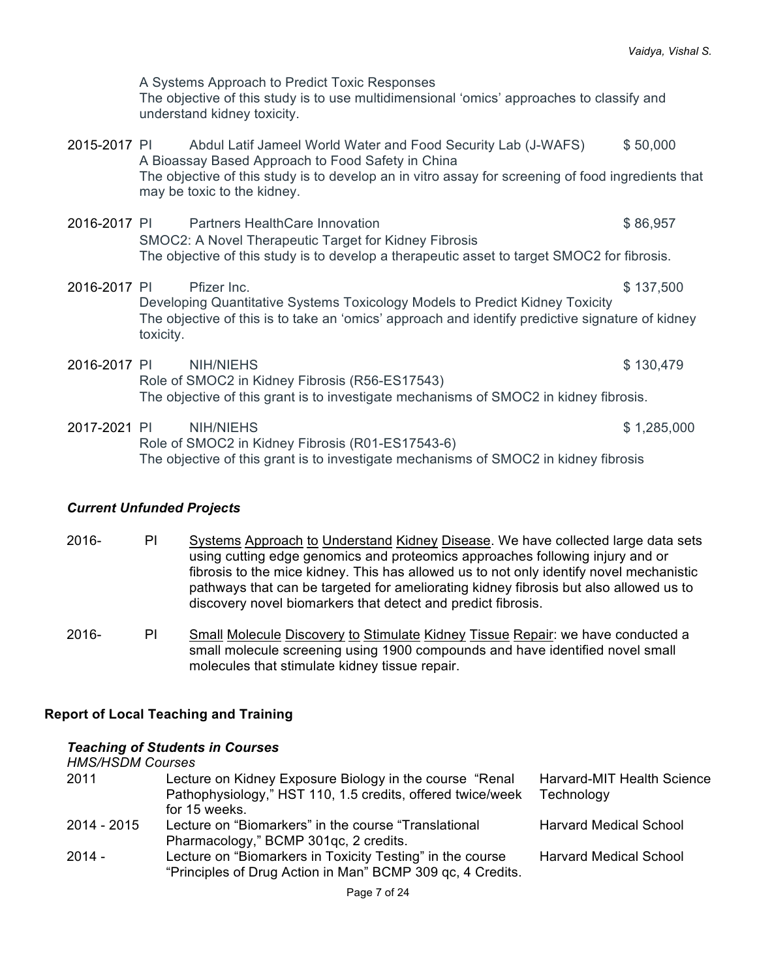A Systems Approach to Predict Toxic Responses The objective of this study is to use multidimensional 'omics' approaches to classify and understand kidney toxicity.

- 2015-2017 PI Abdul Latif Jameel World Water and Food Security Lab (J-WAFS) \$ 50,000 A Bioassay Based Approach to Food Safety in China The objective of this study is to develop an in vitro assay for screening of food ingredients that may be toxic to the kidney.
- 2016-2017 PI Partners HealthCare Innovation **1998** CONSERVIATE: 1998-2017 PI Partners HealthCare Innovation SMOC2: A Novel Therapeutic Target for Kidney Fibrosis The objective of this study is to develop a therapeutic asset to target SMOC2 for fibrosis.
- 2016-2017 PI Pfizer Inc. \$ 137,500 Developing Quantitative Systems Toxicology Models to Predict Kidney Toxicity The objective of this is to take an 'omics' approach and identify predictive signature of kidney toxicity.
- 2016-2017 PI NIH/NIEHS \$ 130,479 Role of SMOC2 in Kidney Fibrosis (R56-ES17543) The objective of this grant is to investigate mechanisms of SMOC2 in kidney fibrosis.
- 2017-2021 PI NIH/NIEHS \$ 1,285,000 Role of SMOC2 in Kidney Fibrosis (R01-ES17543-6) The objective of this grant is to investigate mechanisms of SMOC2 in kidney fibrosis

### *Current Unfunded Projects*

- 2016- PI Systems Approach to Understand Kidney Disease. We have collected large data sets using cutting edge genomics and proteomics approaches following injury and or fibrosis to the mice kidney. This has allowed us to not only identify novel mechanistic pathways that can be targeted for ameliorating kidney fibrosis but also allowed us to discovery novel biomarkers that detect and predict fibrosis.
- 2016- PI Small Molecule Discovery to Stimulate Kidney Tissue Repair: we have conducted a small molecule screening using 1900 compounds and have identified novel small molecules that stimulate kidney tissue repair.

### **Report of Local Teaching and Training**

#### *Teaching of Students in Courses*

*HMS/HSDM Courses*

| 2011        | Lecture on Kidney Exposure Biology in the course "Renal                                                                 | Harvard-MIT Health Science    |
|-------------|-------------------------------------------------------------------------------------------------------------------------|-------------------------------|
|             | Pathophysiology," HST 110, 1.5 credits, offered twice/week                                                              | Technology                    |
|             | for 15 weeks.                                                                                                           |                               |
| 2014 - 2015 | Lecture on "Biomarkers" in the course "Translational                                                                    | <b>Harvard Medical School</b> |
|             | Pharmacology," BCMP 301gc, 2 credits.                                                                                   |                               |
| $2014 -$    | Lecture on "Biomarkers in Toxicity Testing" in the course<br>"Principles of Drug Action in Man" BCMP 309 qc, 4 Credits. | <b>Harvard Medical School</b> |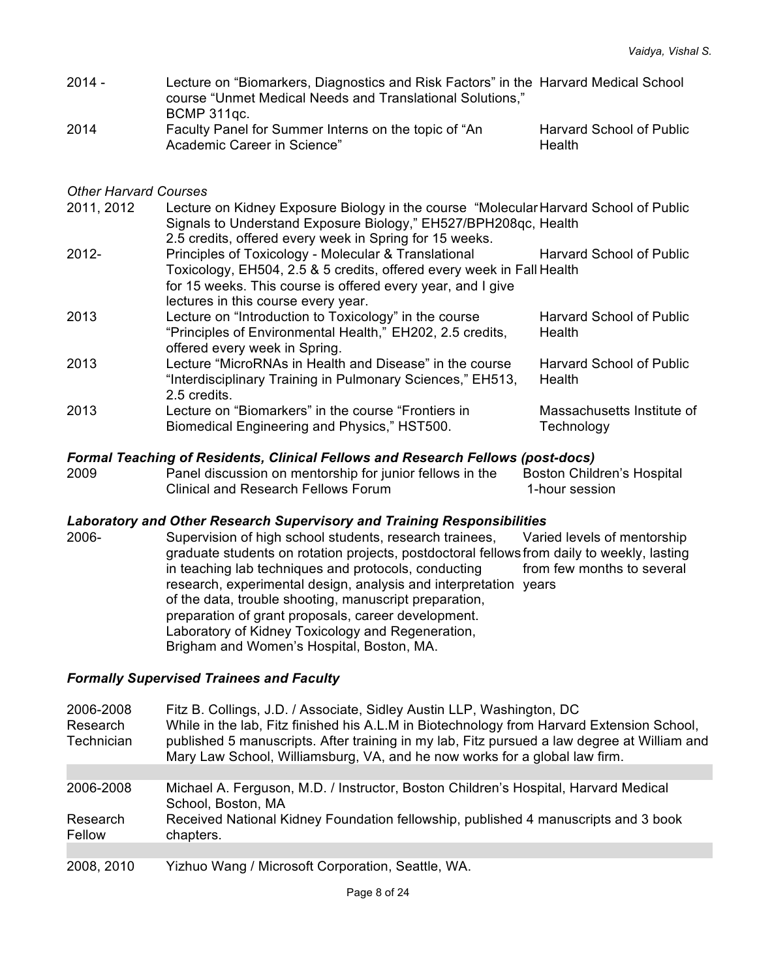| $2014 -$ | Lecture on "Biomarkers, Diagnostics and Risk Factors" in the Harvard Medical School<br>course "Unmet Medical Needs and Translational Solutions," |                          |
|----------|--------------------------------------------------------------------------------------------------------------------------------------------------|--------------------------|
|          | BCMP 311gc.                                                                                                                                      |                          |
| 2014     | Faculty Panel for Summer Interns on the topic of "An                                                                                             | Harvard School of Public |
|          | Academic Career in Science"                                                                                                                      | Health                   |

### *Other Harvard Courses*

| 2011, 2012 | Lecture on Kidney Exposure Biology in the course "Molecular Harvard School of Public<br>Signals to Understand Exposure Biology," EH527/BPH208qc, Health |                                 |
|------------|---------------------------------------------------------------------------------------------------------------------------------------------------------|---------------------------------|
|            | 2.5 credits, offered every week in Spring for 15 weeks.                                                                                                 |                                 |
| $2012 -$   | Principles of Toxicology - Molecular & Translational                                                                                                    | <b>Harvard School of Public</b> |
|            | Toxicology, EH504, 2.5 & 5 credits, offered every week in Fall Health                                                                                   |                                 |
|            | for 15 weeks. This course is offered every year, and I give                                                                                             |                                 |
|            | lectures in this course every year.                                                                                                                     |                                 |
| 2013       | Lecture on "Introduction to Toxicology" in the course                                                                                                   | <b>Harvard School of Public</b> |
|            | "Principles of Environmental Health," EH202, 2.5 credits,                                                                                               | Health                          |
|            | offered every week in Spring.                                                                                                                           |                                 |
| 2013       | Lecture "MicroRNAs in Health and Disease" in the course                                                                                                 | <b>Harvard School of Public</b> |
|            | "Interdisciplinary Training in Pulmonary Sciences," EH513,                                                                                              | Health                          |
|            | 2.5 credits.                                                                                                                                            |                                 |
| 2013       | Lecture on "Biomarkers" in the course "Frontiers in                                                                                                     | Massachusetts Institute of      |
|            | Biomedical Engineering and Physics," HST500.                                                                                                            | Technology                      |
|            |                                                                                                                                                         |                                 |

### *Formal Teaching of Residents, Clinical Fellows and Research Fellows (post-docs)*

| 2009 | Panel discussion on mentorship for junior fellows in the | Boston Children's Hospital |
|------|----------------------------------------------------------|----------------------------|
|      | Clinical and Research Fellows Forum                      | 1-hour session             |

#### *Laboratory and Other Research Supervisory and Training Responsibilities*

2006- Supervision of high school students, research trainees, graduate students on rotation projects, postdoctoral fellows from daily to weekly, lasting in teaching lab techniques and protocols, conducting research, experimental design, analysis and interpretation years of the data, trouble shooting, manuscript preparation, preparation of grant proposals, career development. Laboratory of Kidney Toxicology and Regeneration, Brigham and Women's Hospital, Boston, MA. Varied levels of mentorship from few months to several

#### *Formally Supervised Trainees and Faculty*

| 2006-2008<br>Research<br>Technician | Fitz B. Collings, J.D. / Associate, Sidley Austin LLP, Washington, DC<br>While in the lab, Fitz finished his A.L.M in Biotechnology from Harvard Extension School,<br>published 5 manuscripts. After training in my lab, Fitz pursued a law degree at William and<br>Mary Law School, Williamsburg, VA, and he now works for a global law firm. |
|-------------------------------------|-------------------------------------------------------------------------------------------------------------------------------------------------------------------------------------------------------------------------------------------------------------------------------------------------------------------------------------------------|
|                                     |                                                                                                                                                                                                                                                                                                                                                 |
| 2006-2008                           | Michael A. Ferguson, M.D. / Instructor, Boston Children's Hospital, Harvard Medical<br>School, Boston, MA                                                                                                                                                                                                                                       |
| Research                            | Received National Kidney Foundation fellowship, published 4 manuscripts and 3 book                                                                                                                                                                                                                                                              |
| Fellow                              | chapters.                                                                                                                                                                                                                                                                                                                                       |
|                                     |                                                                                                                                                                                                                                                                                                                                                 |
|                                     |                                                                                                                                                                                                                                                                                                                                                 |

2008, 2010 Yizhuo Wang / Microsoft Corporation, Seattle, WA.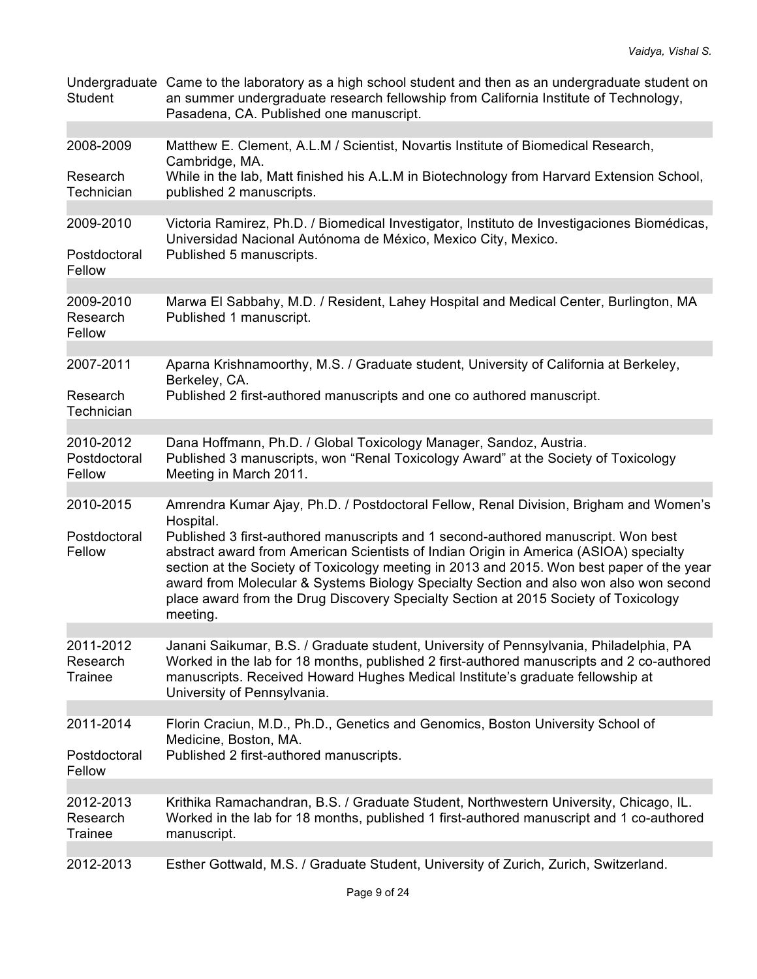| <b>Student</b>                      | Undergraduate Came to the laboratory as a high school student and then as an undergraduate student on<br>an summer undergraduate research fellowship from California Institute of Technology,<br>Pasadena, CA. Published one manuscript.                                                                                                                                                                                                                            |
|-------------------------------------|---------------------------------------------------------------------------------------------------------------------------------------------------------------------------------------------------------------------------------------------------------------------------------------------------------------------------------------------------------------------------------------------------------------------------------------------------------------------|
| 2008-2009                           | Matthew E. Clement, A.L.M / Scientist, Novartis Institute of Biomedical Research,                                                                                                                                                                                                                                                                                                                                                                                   |
|                                     | Cambridge, MA.                                                                                                                                                                                                                                                                                                                                                                                                                                                      |
| Research<br>Technician              | While in the lab, Matt finished his A.L.M in Biotechnology from Harvard Extension School,<br>published 2 manuscripts.                                                                                                                                                                                                                                                                                                                                               |
|                                     |                                                                                                                                                                                                                                                                                                                                                                                                                                                                     |
| 2009-2010<br>Postdoctoral           | Victoria Ramirez, Ph.D. / Biomedical Investigator, Instituto de Investigaciones Biomédicas,<br>Universidad Nacional Autónoma de México, Mexico City, Mexico.<br>Published 5 manuscripts.                                                                                                                                                                                                                                                                            |
| Fellow                              |                                                                                                                                                                                                                                                                                                                                                                                                                                                                     |
|                                     |                                                                                                                                                                                                                                                                                                                                                                                                                                                                     |
| 2009-2010<br>Research<br>Fellow     | Marwa El Sabbahy, M.D. / Resident, Lahey Hospital and Medical Center, Burlington, MA<br>Published 1 manuscript.                                                                                                                                                                                                                                                                                                                                                     |
| 2007-2011                           | Aparna Krishnamoorthy, M.S. / Graduate student, University of California at Berkeley,                                                                                                                                                                                                                                                                                                                                                                               |
|                                     | Berkeley, CA.                                                                                                                                                                                                                                                                                                                                                                                                                                                       |
| Research<br>Technician              | Published 2 first-authored manuscripts and one co authored manuscript.                                                                                                                                                                                                                                                                                                                                                                                              |
|                                     |                                                                                                                                                                                                                                                                                                                                                                                                                                                                     |
| 2010-2012<br>Postdoctoral<br>Fellow | Dana Hoffmann, Ph.D. / Global Toxicology Manager, Sandoz, Austria.<br>Published 3 manuscripts, won "Renal Toxicology Award" at the Society of Toxicology<br>Meeting in March 2011.                                                                                                                                                                                                                                                                                  |
| 2010-2015                           |                                                                                                                                                                                                                                                                                                                                                                                                                                                                     |
|                                     | Amrendra Kumar Ajay, Ph.D. / Postdoctoral Fellow, Renal Division, Brigham and Women's<br>Hospital.                                                                                                                                                                                                                                                                                                                                                                  |
| Postdoctoral<br>Fellow              | Published 3 first-authored manuscripts and 1 second-authored manuscript. Won best<br>abstract award from American Scientists of Indian Origin in America (ASIOA) specialty<br>section at the Society of Toxicology meeting in 2013 and 2015. Won best paper of the year<br>award from Molecular & Systems Biology Specialty Section and also won also won second<br>place award from the Drug Discovery Specialty Section at 2015 Society of Toxicology<br>meeting. |
| 2011-2012                           | Janani Saikumar, B.S. / Graduate student, University of Pennsylvania, Philadelphia, PA                                                                                                                                                                                                                                                                                                                                                                              |
| Research<br>Trainee                 | Worked in the lab for 18 months, published 2 first-authored manuscripts and 2 co-authored<br>manuscripts. Received Howard Hughes Medical Institute's graduate fellowship at<br>University of Pennsylvania.                                                                                                                                                                                                                                                          |
| 2011-2014                           | Florin Craciun, M.D., Ph.D., Genetics and Genomics, Boston University School of                                                                                                                                                                                                                                                                                                                                                                                     |
|                                     | Medicine, Boston, MA.                                                                                                                                                                                                                                                                                                                                                                                                                                               |
| Postdoctoral<br>Fellow              | Published 2 first-authored manuscripts.                                                                                                                                                                                                                                                                                                                                                                                                                             |
|                                     |                                                                                                                                                                                                                                                                                                                                                                                                                                                                     |
| 2012-2013<br>Research<br>Trainee    | Krithika Ramachandran, B.S. / Graduate Student, Northwestern University, Chicago, IL.<br>Worked in the lab for 18 months, published 1 first-authored manuscript and 1 co-authored<br>manuscript.                                                                                                                                                                                                                                                                    |
| 2012-2013                           | Esther Gottwald, M.S. / Graduate Student, University of Zurich, Zurich, Switzerland.                                                                                                                                                                                                                                                                                                                                                                                |
|                                     |                                                                                                                                                                                                                                                                                                                                                                                                                                                                     |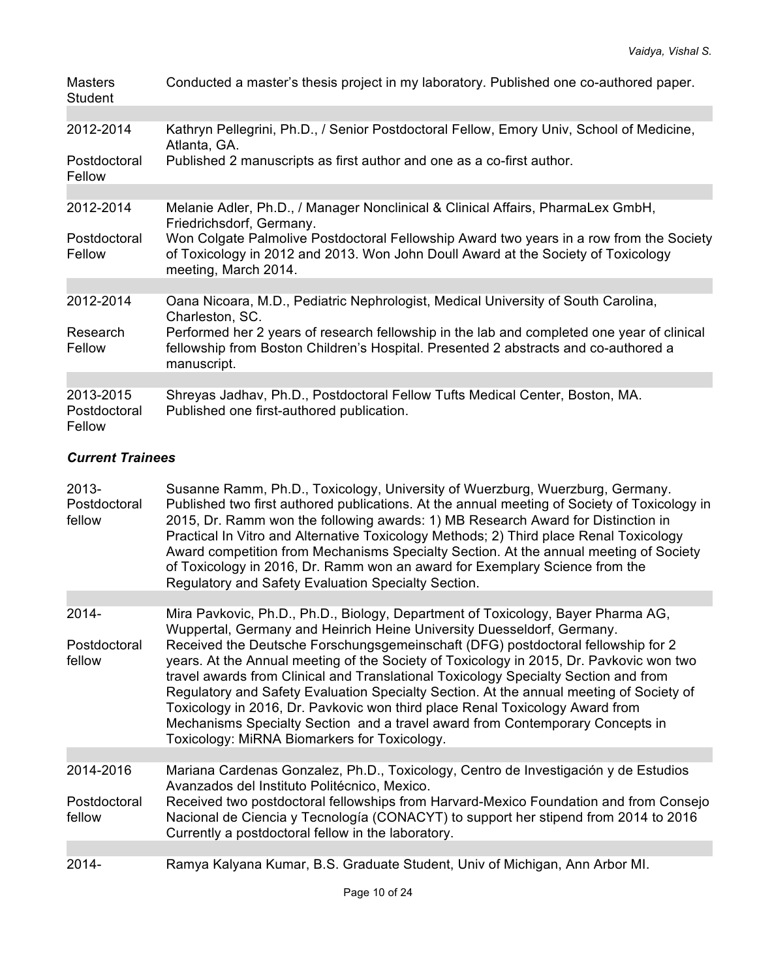| <b>Masters</b><br><b>Student</b>    | Conducted a master's thesis project in my laboratory. Published one co-authored paper.                                                                                                               |
|-------------------------------------|------------------------------------------------------------------------------------------------------------------------------------------------------------------------------------------------------|
|                                     |                                                                                                                                                                                                      |
| 2012-2014                           | Kathryn Pellegrini, Ph.D., / Senior Postdoctoral Fellow, Emory Univ, School of Medicine,<br>Atlanta, GA.                                                                                             |
| Postdoctoral<br>Fellow              | Published 2 manuscripts as first author and one as a co-first author.                                                                                                                                |
|                                     |                                                                                                                                                                                                      |
| 2012-2014                           | Melanie Adler, Ph.D., / Manager Nonclinical & Clinical Affairs, PharmaLex GmbH,<br>Friedrichsdorf, Germany.                                                                                          |
| Postdoctoral<br>Fellow              | Won Colgate Palmolive Postdoctoral Fellowship Award two years in a row from the Society<br>of Toxicology in 2012 and 2013. Won John Doull Award at the Society of Toxicology<br>meeting, March 2014. |
|                                     |                                                                                                                                                                                                      |
| 2012-2014                           | Oana Nicoara, M.D., Pediatric Nephrologist, Medical University of South Carolina,<br>Charleston, SC.                                                                                                 |
| Research<br>Fellow                  | Performed her 2 years of research fellowship in the lab and completed one year of clinical<br>fellowship from Boston Children's Hospital. Presented 2 abstracts and co-authored a<br>manuscript.     |
|                                     |                                                                                                                                                                                                      |
| 2013-2015<br>Postdoctoral<br>Fellow | Shreyas Jadhav, Ph.D., Postdoctoral Fellow Tufts Medical Center, Boston, MA.<br>Published one first-authored publication.                                                                            |

# *Current Trainees*

| $2013 -$<br>Postdoctoral<br>fellow | Susanne Ramm, Ph.D., Toxicology, University of Wuerzburg, Wuerzburg, Germany.<br>Published two first authored publications. At the annual meeting of Society of Toxicology in<br>2015, Dr. Ramm won the following awards: 1) MB Research Award for Distinction in<br>Practical In Vitro and Alternative Toxicology Methods; 2) Third place Renal Toxicology<br>Award competition from Mechanisms Specialty Section. At the annual meeting of Society<br>of Toxicology in 2016, Dr. Ramm won an award for Exemplary Science from the<br>Regulatory and Safety Evaluation Specialty Section. |
|------------------------------------|--------------------------------------------------------------------------------------------------------------------------------------------------------------------------------------------------------------------------------------------------------------------------------------------------------------------------------------------------------------------------------------------------------------------------------------------------------------------------------------------------------------------------------------------------------------------------------------------|
|                                    |                                                                                                                                                                                                                                                                                                                                                                                                                                                                                                                                                                                            |
| 2014-                              | Mira Pavkovic, Ph.D., Ph.D., Biology, Department of Toxicology, Bayer Pharma AG,<br>Wuppertal, Germany and Heinrich Heine University Duesseldorf, Germany.                                                                                                                                                                                                                                                                                                                                                                                                                                 |
| Postdoctoral<br>fellow             | Received the Deutsche Forschungsgemeinschaft (DFG) postdoctoral fellowship for 2<br>years. At the Annual meeting of the Society of Toxicology in 2015, Dr. Pavkovic won two<br>travel awards from Clinical and Translational Toxicology Specialty Section and from<br>Regulatory and Safety Evaluation Specialty Section. At the annual meeting of Society of<br>Toxicology in 2016, Dr. Pavkovic won third place Renal Toxicology Award from<br>Mechanisms Specialty Section and a travel award from Contemporary Concepts in<br>Toxicology: MiRNA Biomarkers for Toxicology.             |
|                                    |                                                                                                                                                                                                                                                                                                                                                                                                                                                                                                                                                                                            |
| 2014-2016                          | Mariana Cardenas Gonzalez, Ph.D., Toxicology, Centro de Investigación y de Estudios<br>Avanzados del Instituto Politécnico, Mexico.                                                                                                                                                                                                                                                                                                                                                                                                                                                        |
| Postdoctoral<br>fellow             | Received two postdoctoral fellowships from Harvard-Mexico Foundation and from Consejo<br>Nacional de Ciencia y Tecnología (CONACYT) to support her stipend from 2014 to 2016<br>Currently a postdoctoral fellow in the laboratory.                                                                                                                                                                                                                                                                                                                                                         |
|                                    |                                                                                                                                                                                                                                                                                                                                                                                                                                                                                                                                                                                            |
| 2014-                              | Ramya Kalyana Kumar, B.S. Graduate Student, Univ of Michigan, Ann Arbor MI.                                                                                                                                                                                                                                                                                                                                                                                                                                                                                                                |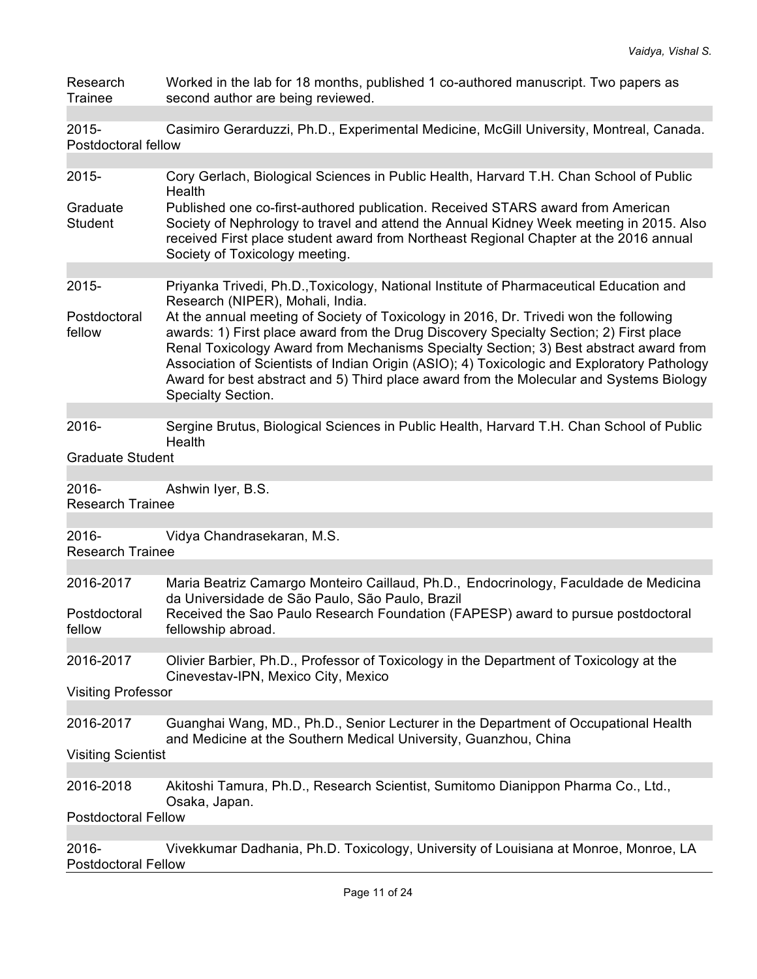| Research<br>Trainee                 | Worked in the lab for 18 months, published 1 co-authored manuscript. Two papers as<br>second author are being reviewed.                                                                                                                                                                                                                                                                                                                                                                                                      |
|-------------------------------------|------------------------------------------------------------------------------------------------------------------------------------------------------------------------------------------------------------------------------------------------------------------------------------------------------------------------------------------------------------------------------------------------------------------------------------------------------------------------------------------------------------------------------|
| 2015-<br>Postdoctoral fellow        | Casimiro Gerarduzzi, Ph.D., Experimental Medicine, McGill University, Montreal, Canada.                                                                                                                                                                                                                                                                                                                                                                                                                                      |
| 2015-                               | Cory Gerlach, Biological Sciences in Public Health, Harvard T.H. Chan School of Public                                                                                                                                                                                                                                                                                                                                                                                                                                       |
|                                     | Health                                                                                                                                                                                                                                                                                                                                                                                                                                                                                                                       |
| Graduate<br><b>Student</b>          | Published one co-first-authored publication. Received STARS award from American<br>Society of Nephrology to travel and attend the Annual Kidney Week meeting in 2015. Also<br>received First place student award from Northeast Regional Chapter at the 2016 annual<br>Society of Toxicology meeting.                                                                                                                                                                                                                        |
| 2015-                               | Priyanka Trivedi, Ph.D., Toxicology, National Institute of Pharmaceutical Education and                                                                                                                                                                                                                                                                                                                                                                                                                                      |
| Postdoctoral<br>fellow              | Research (NIPER), Mohali, India.<br>At the annual meeting of Society of Toxicology in 2016, Dr. Trivedi won the following<br>awards: 1) First place award from the Drug Discovery Specialty Section; 2) First place<br>Renal Toxicology Award from Mechanisms Specialty Section; 3) Best abstract award from<br>Association of Scientists of Indian Origin (ASIO); 4) Toxicologic and Exploratory Pathology<br>Award for best abstract and 5) Third place award from the Molecular and Systems Biology<br>Specialty Section. |
|                                     |                                                                                                                                                                                                                                                                                                                                                                                                                                                                                                                              |
| 2016-                               | Sergine Brutus, Biological Sciences in Public Health, Harvard T.H. Chan School of Public<br>Health                                                                                                                                                                                                                                                                                                                                                                                                                           |
| <b>Graduate Student</b>             |                                                                                                                                                                                                                                                                                                                                                                                                                                                                                                                              |
| 2016-<br><b>Research Trainee</b>    | Ashwin Iyer, B.S.                                                                                                                                                                                                                                                                                                                                                                                                                                                                                                            |
| 2016-<br><b>Research Trainee</b>    | Vidya Chandrasekaran, M.S.                                                                                                                                                                                                                                                                                                                                                                                                                                                                                                   |
| 2016-2017                           | Maria Beatriz Camargo Monteiro Caillaud, Ph.D., Endocrinology, Faculdade de Medicina<br>da Universidade de São Paulo, São Paulo, Brazil                                                                                                                                                                                                                                                                                                                                                                                      |
| Postdoctoral<br>fellow              | Received the Sao Paulo Research Foundation (FAPESP) award to pursue postdoctoral<br>fellowship abroad.                                                                                                                                                                                                                                                                                                                                                                                                                       |
| 2016-2017                           | Olivier Barbier, Ph.D., Professor of Toxicology in the Department of Toxicology at the<br>Cinevestav-IPN, Mexico City, Mexico                                                                                                                                                                                                                                                                                                                                                                                                |
| <b>Visiting Professor</b>           |                                                                                                                                                                                                                                                                                                                                                                                                                                                                                                                              |
| 2016-2017                           | Guanghai Wang, MD., Ph.D., Senior Lecturer in the Department of Occupational Health<br>and Medicine at the Southern Medical University, Guanzhou, China                                                                                                                                                                                                                                                                                                                                                                      |
| <b>Visiting Scientist</b>           |                                                                                                                                                                                                                                                                                                                                                                                                                                                                                                                              |
| 2016-2018                           | Akitoshi Tamura, Ph.D., Research Scientist, Sumitomo Dianippon Pharma Co., Ltd.,<br>Osaka, Japan.                                                                                                                                                                                                                                                                                                                                                                                                                            |
| <b>Postdoctoral Fellow</b>          |                                                                                                                                                                                                                                                                                                                                                                                                                                                                                                                              |
| 2016-<br><b>Postdoctoral Fellow</b> | Vivekkumar Dadhania, Ph.D. Toxicology, University of Louisiana at Monroe, Monroe, LA                                                                                                                                                                                                                                                                                                                                                                                                                                         |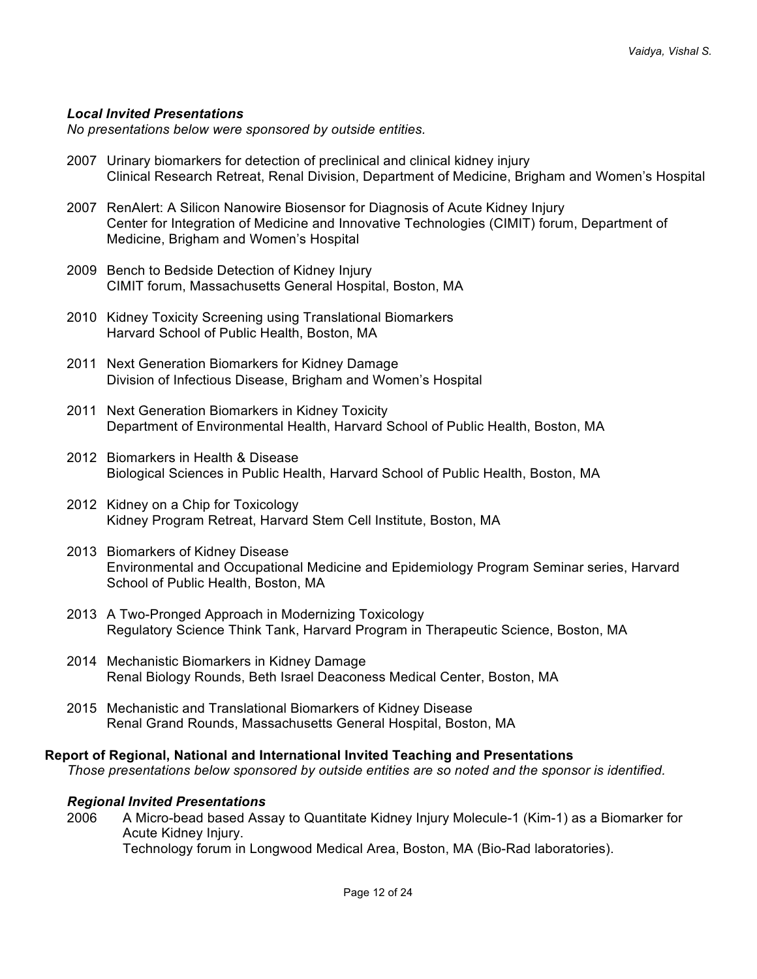# *Local Invited Presentations*

*No presentations below were sponsored by outside entities.*

- 2007 Urinary biomarkers for detection of preclinical and clinical kidney injury Clinical Research Retreat, Renal Division, Department of Medicine, Brigham and Women's Hospital
- 2007 RenAlert: A Silicon Nanowire Biosensor for Diagnosis of Acute Kidney Injury Center for Integration of Medicine and Innovative Technologies (CIMIT) forum, Department of Medicine, Brigham and Women's Hospital
- 2009 Bench to Bedside Detection of Kidney Injury CIMIT forum, Massachusetts General Hospital, Boston, MA
- 2010 Kidney Toxicity Screening using Translational Biomarkers Harvard School of Public Health, Boston, MA
- 2011 Next Generation Biomarkers for Kidney Damage Division of Infectious Disease, Brigham and Women's Hospital
- 2011 Next Generation Biomarkers in Kidney Toxicity Department of Environmental Health, Harvard School of Public Health, Boston, MA
- 2012 Biomarkers in Health & Disease Biological Sciences in Public Health, Harvard School of Public Health, Boston, MA
- 2012 Kidney on a Chip for Toxicology Kidney Program Retreat, Harvard Stem Cell Institute, Boston, MA
- 2013 Biomarkers of Kidney Disease Environmental and Occupational Medicine and Epidemiology Program Seminar series, Harvard School of Public Health, Boston, MA
- 2013 A Two-Pronged Approach in Modernizing Toxicology Regulatory Science Think Tank, Harvard Program in Therapeutic Science, Boston, MA
- 2014 Mechanistic Biomarkers in Kidney Damage Renal Biology Rounds, Beth Israel Deaconess Medical Center, Boston, MA
- 2015 Mechanistic and Translational Biomarkers of Kidney Disease Renal Grand Rounds, Massachusetts General Hospital, Boston, MA

#### **Report of Regional, National and International Invited Teaching and Presentations**

*Those presentations below sponsored by outside entities are so noted and the sponsor is identified.*

### *Regional Invited Presentations*

2006 A Micro-bead based Assay to Quantitate Kidney Injury Molecule-1 (Kim-1) as a Biomarker for Acute Kidney Injury. Technology forum in Longwood Medical Area, Boston, MA (Bio-Rad laboratories).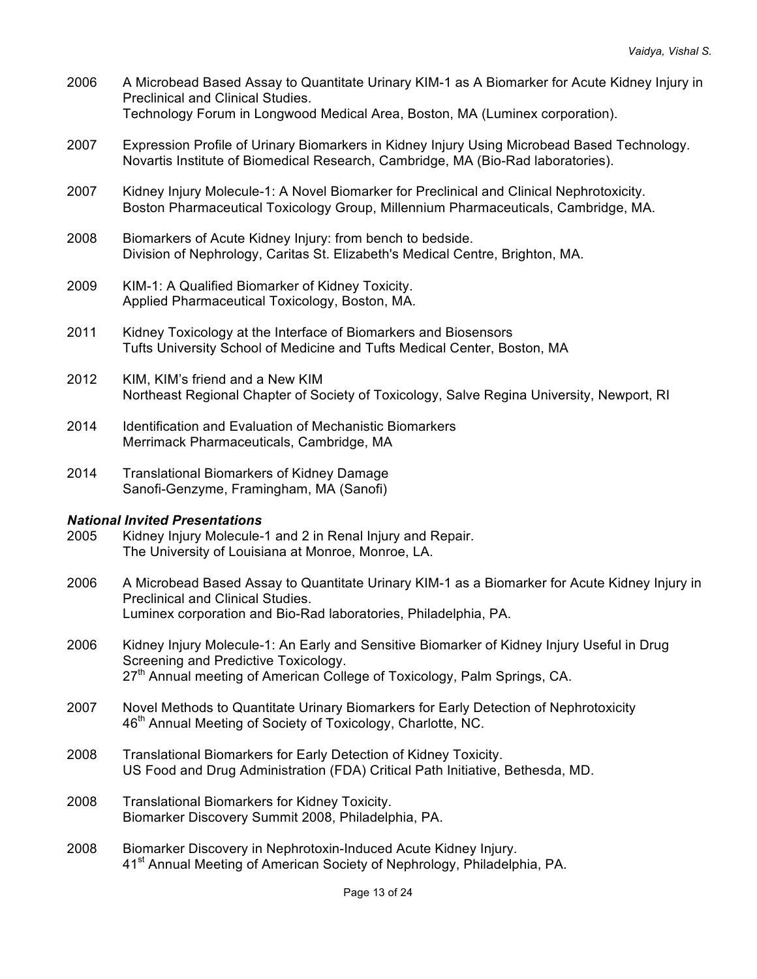- 2006 A Microbead Based Assay to Quantitate Urinary KIM-1 as A Biomarker for Acute Kidney Injury in Preclinical and Clinical Studies. Technology Forum in Longwood Medical Area, Boston, MA (Luminex corporation).
- 2007 Expression Profile of Urinary Biomarkers in Kidney Injury Using Microbead Based Technology. Novartis Institute of Biomedical Research, Cambridge, MA (Bio-Rad laboratories).
- 2007 Kidney Injury Molecule-1: A Novel Biomarker for Preclinical and Clinical Nephrotoxicity. Boston Pharmaceutical Toxicology Group, Millennium Pharmaceuticals, Cambridge, MA.
- 2008 Biomarkers of Acute Kidney Injury: from bench to bedside. Division of Nephrology, Caritas St. Elizabeth's Medical Centre, Brighton, MA.
- 2009 KIM-1: A Qualified Biomarker of Kidney Toxicity. Applied Pharmaceutical Toxicology, Boston, MA.
- 2011 Kidney Toxicology at the Interface of Biomarkers and Biosensors Tufts University School of Medicine and Tufts Medical Center, Boston, MA
- 2012 KIM, KIM's friend and a New KIM Northeast Regional Chapter of Society of Toxicology, Salve Regina University, Newport, RI
- 2014 Identification and Evaluation of Mechanistic Biomarkers Merrimack Pharmaceuticals, Cambridge, MA
- 2014 Translational Biomarkers of Kidney Damage Sanofi-Genzyme, Framingham, MA (Sanofi)

### *National Invited Presentations*

- 2005 Kidney Injury Molecule-1 and 2 in Renal Injury and Repair. The University of Louisiana at Monroe, Monroe, LA.
- 2006 A Microbead Based Assay to Quantitate Urinary KIM-1 as a Biomarker for Acute Kidney Injury in Preclinical and Clinical Studies. Luminex corporation and Bio-Rad laboratories, Philadelphia, PA.
- 2006 Kidney Injury Molecule-1: An Early and Sensitive Biomarker of Kidney Injury Useful in Drug Screening and Predictive Toxicology. 27<sup>th</sup> Annual meeting of American College of Toxicology, Palm Springs, CA.
- 2007 Novel Methods to Quantitate Urinary Biomarkers for Early Detection of Nephrotoxicity 46<sup>th</sup> Annual Meeting of Society of Toxicology, Charlotte, NC.
- 2008 Translational Biomarkers for Early Detection of Kidney Toxicity. US Food and Drug Administration (FDA) Critical Path Initiative, Bethesda, MD.
- 2008 Translational Biomarkers for Kidney Toxicity. Biomarker Discovery Summit 2008, Philadelphia, PA.
- 2008 Biomarker Discovery in Nephrotoxin-Induced Acute Kidney Injury. 41<sup>st</sup> Annual Meeting of American Society of Nephrology, Philadelphia, PA.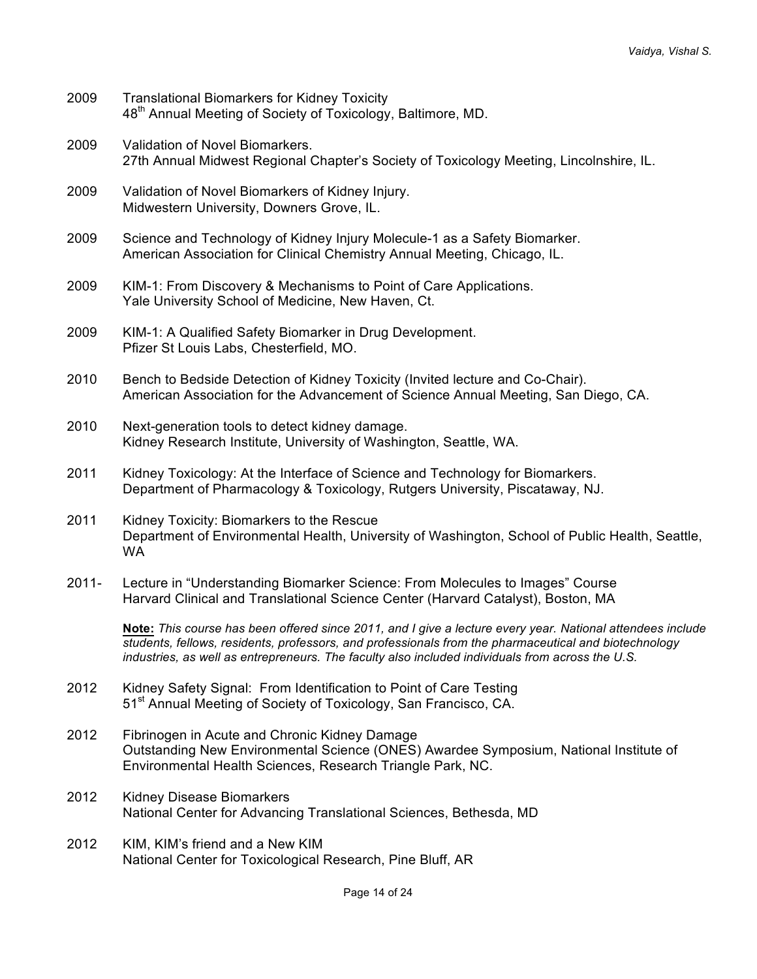| 2009     | <b>Translational Biomarkers for Kidney Toxicity</b><br>48 <sup>th</sup> Annual Meeting of Society of Toxicology, Baltimore, MD.                                                                                                                                                                                         |
|----------|-------------------------------------------------------------------------------------------------------------------------------------------------------------------------------------------------------------------------------------------------------------------------------------------------------------------------|
| 2009     | Validation of Novel Biomarkers.<br>27th Annual Midwest Regional Chapter's Society of Toxicology Meeting, Lincolnshire, IL.                                                                                                                                                                                              |
| 2009     | Validation of Novel Biomarkers of Kidney Injury.<br>Midwestern University, Downers Grove, IL.                                                                                                                                                                                                                           |
| 2009     | Science and Technology of Kidney Injury Molecule-1 as a Safety Biomarker.<br>American Association for Clinical Chemistry Annual Meeting, Chicago, IL.                                                                                                                                                                   |
| 2009     | KIM-1: From Discovery & Mechanisms to Point of Care Applications.<br>Yale University School of Medicine, New Haven, Ct.                                                                                                                                                                                                 |
| 2009     | KIM-1: A Qualified Safety Biomarker in Drug Development.<br>Pfizer St Louis Labs, Chesterfield, MO.                                                                                                                                                                                                                     |
| 2010     | Bench to Bedside Detection of Kidney Toxicity (Invited lecture and Co-Chair).<br>American Association for the Advancement of Science Annual Meeting, San Diego, CA.                                                                                                                                                     |
| 2010     | Next-generation tools to detect kidney damage.<br>Kidney Research Institute, University of Washington, Seattle, WA.                                                                                                                                                                                                     |
| 2011     | Kidney Toxicology: At the Interface of Science and Technology for Biomarkers.<br>Department of Pharmacology & Toxicology, Rutgers University, Piscataway, NJ.                                                                                                                                                           |
| 2011     | Kidney Toxicity: Biomarkers to the Rescue<br>Department of Environmental Health, University of Washington, School of Public Health, Seattle,<br><b>WA</b>                                                                                                                                                               |
| $2011 -$ | Lecture in "Understanding Biomarker Science: From Molecules to Images" Course<br>Harvard Clinical and Translational Science Center (Harvard Catalyst), Boston, MA                                                                                                                                                       |
|          | Note: This course has been offered since 2011, and I give a lecture every year. National attendees include<br>students, fellows, residents, professors, and professionals from the pharmaceutical and biotechnology<br>industries, as well as entrepreneurs. The faculty also included individuals from across the U.S. |
| 2012     | Kidney Safety Signal: From Identification to Point of Care Testing<br>51 <sup>st</sup> Annual Meeting of Society of Toxicology, San Francisco, CA.                                                                                                                                                                      |
| 2012     | Fibrinogen in Acute and Chronic Kidney Damage<br>Outstanding New Environmental Science (ONES) Awardee Symposium, National Institute of<br>Environmental Health Sciences, Research Triangle Park, NC.                                                                                                                    |
| 2012     | <b>Kidney Disease Biomarkers</b><br>National Center for Advancing Translational Sciences, Bethesda, MD                                                                                                                                                                                                                  |
| 2012     | KIM, KIM's friend and a New KIM<br>National Center for Toxicological Research, Pine Bluff, AR                                                                                                                                                                                                                           |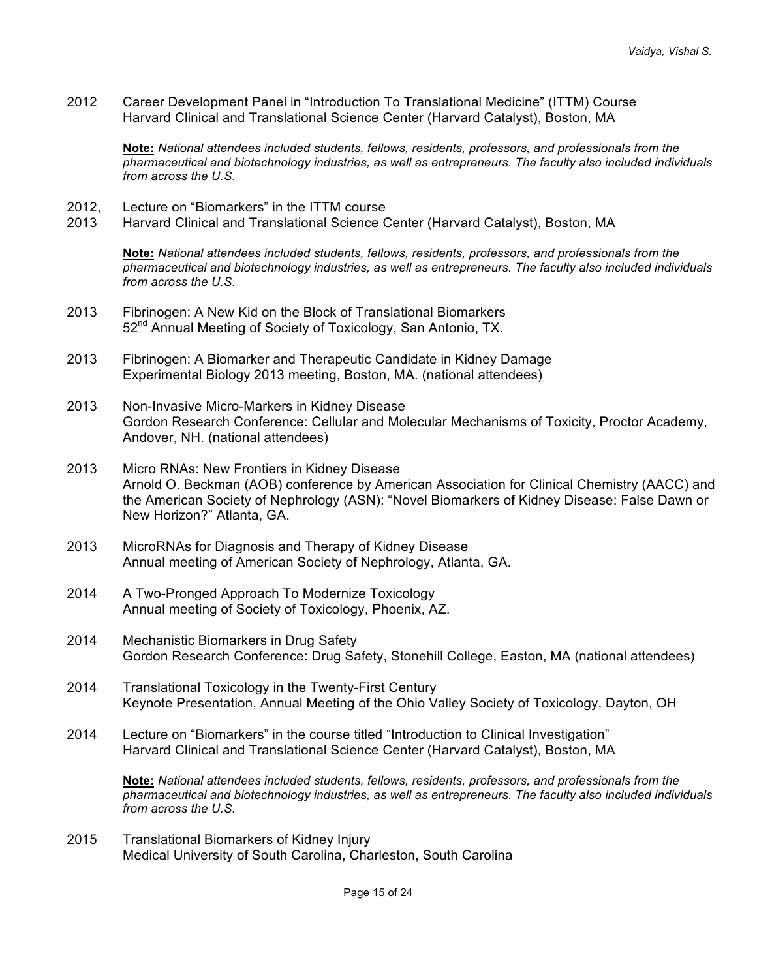2012 Career Development Panel in "Introduction To Translational Medicine" (ITTM) Course Harvard Clinical and Translational Science Center (Harvard Catalyst), Boston, MA

**Note:** *National attendees included students, fellows, residents, professors, and professionals from the pharmaceutical and biotechnology industries, as well as entrepreneurs. The faculty also included individuals from across the U.S.*

- 2012, Lecture on "Biomarkers" in the ITTM course
- 2013 Harvard Clinical and Translational Science Center (Harvard Catalyst), Boston, MA

**Note:** *National attendees included students, fellows, residents, professors, and professionals from the pharmaceutical and biotechnology industries, as well as entrepreneurs. The faculty also included individuals from across the U.S.*

- 2013 Fibrinogen: A New Kid on the Block of Translational Biomarkers 52<sup>nd</sup> Annual Meeting of Society of Toxicology, San Antonio, TX.
- 2013 Fibrinogen: A Biomarker and Therapeutic Candidate in Kidney Damage Experimental Biology 2013 meeting, Boston, MA. (national attendees)
- 2013 Non-Invasive Micro-Markers in Kidney Disease Gordon Research Conference: Cellular and Molecular Mechanisms of Toxicity, Proctor Academy, Andover, NH. (national attendees)
- 2013 Micro RNAs: New Frontiers in Kidney Disease Arnold O. Beckman (AOB) conference by American Association for Clinical Chemistry (AACC) and the American Society of Nephrology (ASN): "Novel Biomarkers of Kidney Disease: False Dawn or New Horizon?" Atlanta, GA.
- 2013 MicroRNAs for Diagnosis and Therapy of Kidney Disease Annual meeting of American Society of Nephrology, Atlanta, GA.
- 2014 A Two-Pronged Approach To Modernize Toxicology Annual meeting of Society of Toxicology, Phoenix, AZ.
- 2014 Mechanistic Biomarkers in Drug Safety Gordon Research Conference: Drug Safety, Stonehill College, Easton, MA (national attendees)
- 2014 Translational Toxicology in the Twenty-First Century Keynote Presentation, Annual Meeting of the Ohio Valley Society of Toxicology, Dayton, OH
- 2014 Lecture on "Biomarkers" in the course titled "Introduction to Clinical Investigation" Harvard Clinical and Translational Science Center (Harvard Catalyst), Boston, MA

**Note:** *National attendees included students, fellows, residents, professors, and professionals from the pharmaceutical and biotechnology industries, as well as entrepreneurs. The faculty also included individuals from across the U.S.*

2015 Translational Biomarkers of Kidney Injury Medical University of South Carolina, Charleston, South Carolina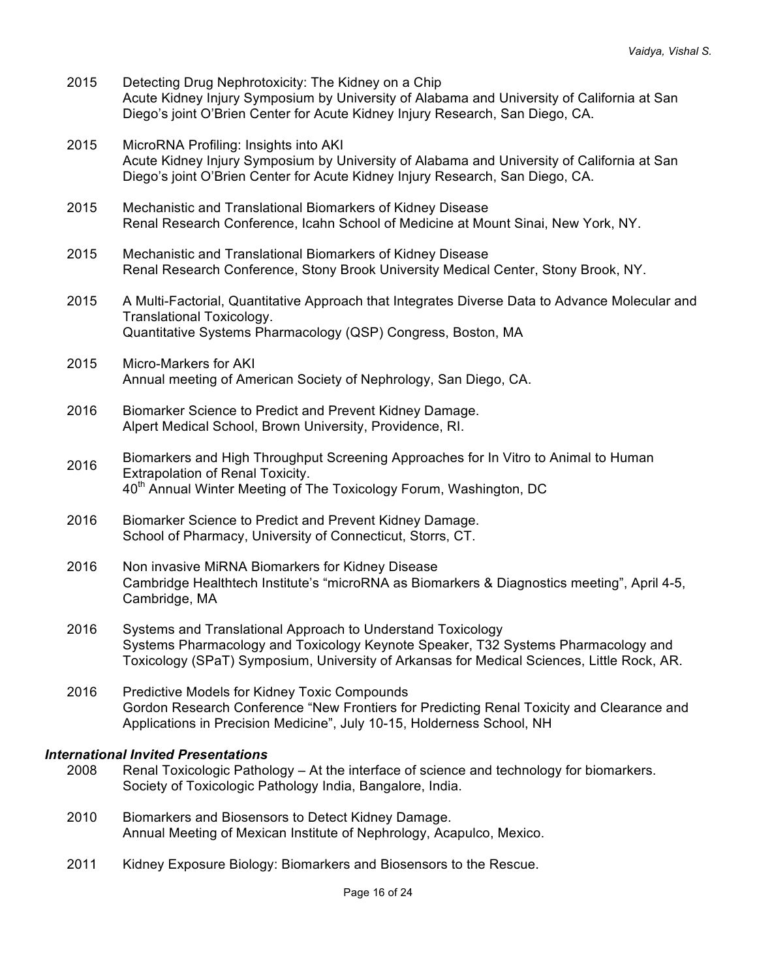- 2015 Detecting Drug Nephrotoxicity: The Kidney on a Chip Acute Kidney Injury Symposium by University of Alabama and University of California at San Diego's joint O'Brien Center for Acute Kidney Injury Research, San Diego, CA.
- 2015 MicroRNA Profiling: Insights into AKI Acute Kidney Injury Symposium by University of Alabama and University of California at San Diego's joint O'Brien Center for Acute Kidney Injury Research, San Diego, CA.
- 2015 Mechanistic and Translational Biomarkers of Kidney Disease Renal Research Conference, Icahn School of Medicine at Mount Sinai, New York, NY.
- 2015 Mechanistic and Translational Biomarkers of Kidney Disease Renal Research Conference, Stony Brook University Medical Center, Stony Brook, NY.
- 2015 A Multi-Factorial, Quantitative Approach that Integrates Diverse Data to Advance Molecular and Translational Toxicology. Quantitative Systems Pharmacology (QSP) Congress, Boston, MA
- 2015 Micro-Markers for AKI Annual meeting of American Society of Nephrology, San Diego, CA.
- 2016 Biomarker Science to Predict and Prevent Kidney Damage. Alpert Medical School, Brown University, Providence, RI.
- 2016 Biomarkers and High Throughput Screening Approaches for In Vitro to Animal to Human Extrapolation of Renal Toxicity. 40<sup>th</sup> Annual Winter Meeting of The Toxicology Forum, Washington, DC
- 2016 Biomarker Science to Predict and Prevent Kidney Damage. School of Pharmacy, University of Connecticut, Storrs, CT.
- 2016 Non invasive MiRNA Biomarkers for Kidney Disease Cambridge Healthtech Institute's "microRNA as Biomarkers & Diagnostics meeting", April 4-5, Cambridge, MA
- 2016 Systems and Translational Approach to Understand Toxicology Systems Pharmacology and Toxicology Keynote Speaker, T32 Systems Pharmacology and Toxicology (SPaT) Symposium, University of Arkansas for Medical Sciences, Little Rock, AR.
- 2016 Predictive Models for Kidney Toxic Compounds Gordon Research Conference "New Frontiers for Predicting Renal Toxicity and Clearance and Applications in Precision Medicine", July 10-15, Holderness School, NH

### *International Invited Presentations*

- 2008 Renal Toxicologic Pathology At the interface of science and technology for biomarkers. Society of Toxicologic Pathology India, Bangalore, India.
- 2010 Biomarkers and Biosensors to Detect Kidney Damage. Annual Meeting of Mexican Institute of Nephrology, Acapulco, Mexico.
- 2011 Kidney Exposure Biology: Biomarkers and Biosensors to the Rescue.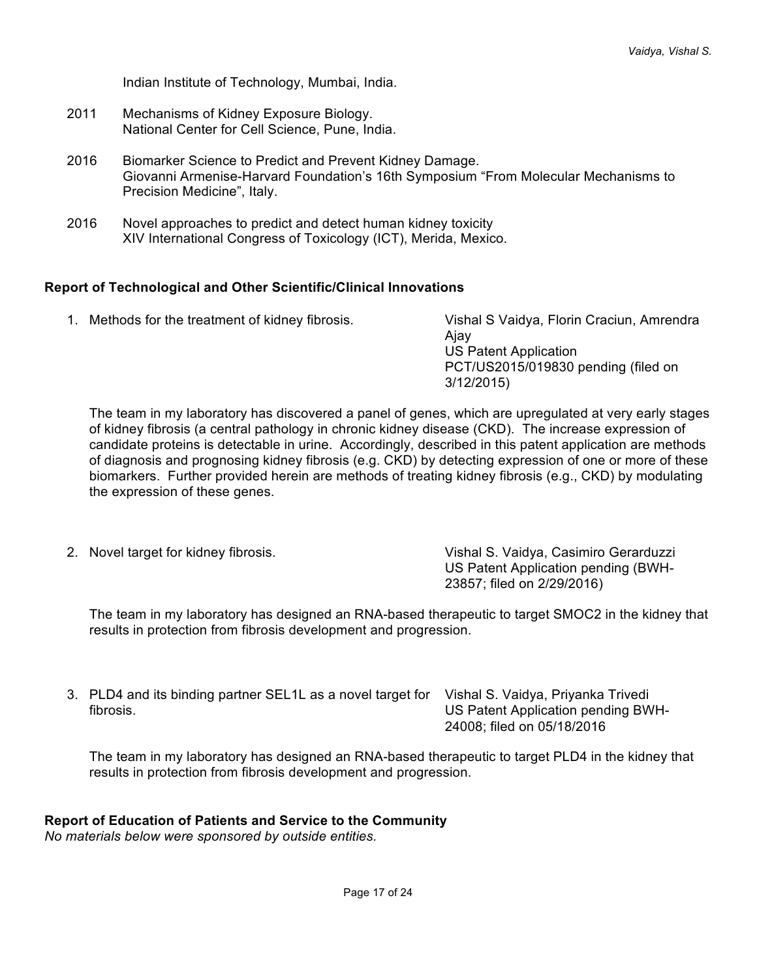Indian Institute of Technology, Mumbai, India.

- 2011 Mechanisms of Kidney Exposure Biology. National Center for Cell Science, Pune, India.
- 2016 Biomarker Science to Predict and Prevent Kidney Damage. Giovanni Armenise-Harvard Foundation's 16th Symposium "From Molecular Mechanisms to Precision Medicine", Italy.
- 2016 Novel approaches to predict and detect human kidney toxicity XIV International Congress of Toxicology (ICT), Merida, Mexico.

### **Report of Technological and Other Scientific/Clinical Innovations**

1. Methods for the treatment of kidney fibrosis. Vishal S Vaidya, Florin Craciun, Amrendra Ajay US Patent Application PCT/US2015/019830 pending (filed on 3/12/2015)

The team in my laboratory has discovered a panel of genes, which are upregulated at very early stages of kidney fibrosis (a central pathology in chronic kidney disease (CKD). The increase expression of candidate proteins is detectable in urine. Accordingly, described in this patent application are methods of diagnosis and prognosing kidney fibrosis (e.g. CKD) by detecting expression of one or more of these biomarkers. Further provided herein are methods of treating kidney fibrosis (e.g., CKD) by modulating the expression of these genes.

2. Novel target for kidney fibrosis. Vishal S. Vaidya, Casimiro Gerarduzzi US Patent Application pending (BWH-23857; filed on 2/29/2016)

The team in my laboratory has designed an RNA-based therapeutic to target SMOC2 in the kidney that results in protection from fibrosis development and progression.

3. PLD4 and its binding partner SEL1L as a novel target for Vishal S. Vaidya, Priyanka Trivedi fibrosis.

US Patent Application pending BWH-24008; filed on 05/18/2016

The team in my laboratory has designed an RNA-based therapeutic to target PLD4 in the kidney that results in protection from fibrosis development and progression.

### **Report of Education of Patients and Service to the Community**

*No materials below were sponsored by outside entities.*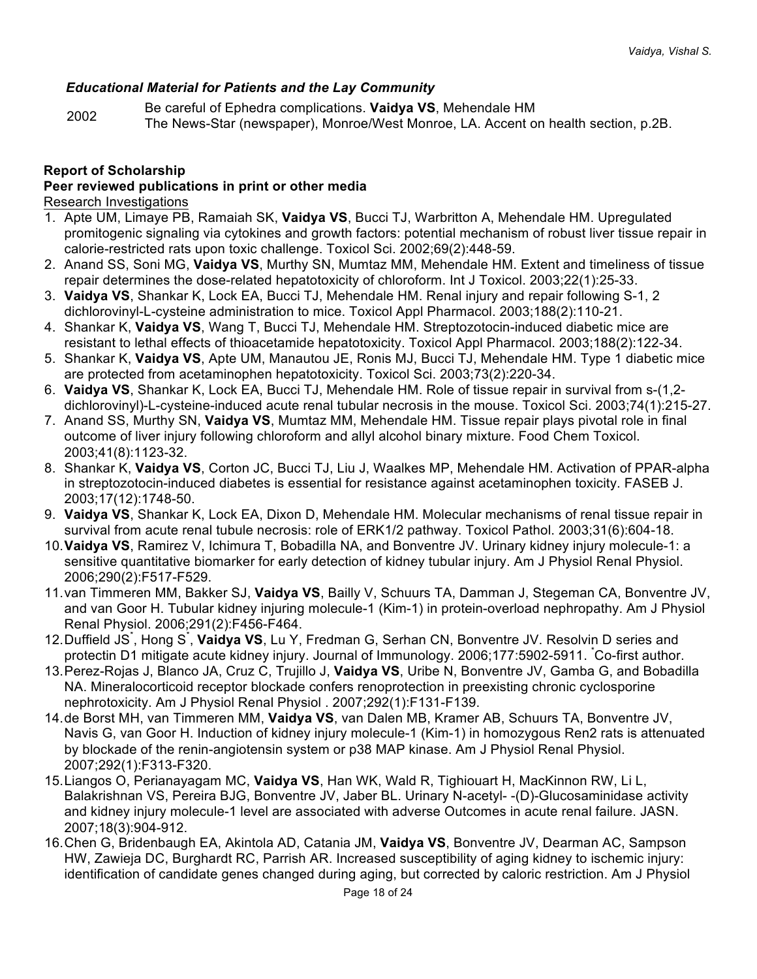## *Educational Material for Patients and the Lay Community*

<sup>2002</sup> Be careful of Ephedra complications. **Vaidya VS**, Mehendale HM The News-Star (newspaper), Monroe/West Monroe, LA. Accent on health section, p.2B.

### **Report of Scholarship**

### **Peer reviewed publications in print or other media**

Research Investigations

- 1. Apte UM, Limaye PB, Ramaiah SK, **Vaidya VS**, Bucci TJ, Warbritton A, Mehendale HM. Upregulated promitogenic signaling via cytokines and growth factors: potential mechanism of robust liver tissue repair in calorie-restricted rats upon toxic challenge. Toxicol Sci. 2002;69(2):448-59.
- 2. Anand SS, Soni MG, **Vaidya VS**, Murthy SN, Mumtaz MM, Mehendale HM. Extent and timeliness of tissue repair determines the dose-related hepatotoxicity of chloroform. Int J Toxicol. 2003;22(1):25-33.
- 3. **Vaidya VS**, Shankar K, Lock EA, Bucci TJ, Mehendale HM. Renal injury and repair following S-1, 2 dichlorovinyl-L-cysteine administration to mice. Toxicol Appl Pharmacol. 2003;188(2):110-21.
- 4. Shankar K, **Vaidya VS**, Wang T, Bucci TJ, Mehendale HM. Streptozotocin-induced diabetic mice are resistant to lethal effects of thioacetamide hepatotoxicity. Toxicol Appl Pharmacol. 2003;188(2):122-34.
- 5. Shankar K, **Vaidya VS**, Apte UM, Manautou JE, Ronis MJ, Bucci TJ, Mehendale HM. Type 1 diabetic mice are protected from acetaminophen hepatotoxicity. Toxicol Sci. 2003;73(2):220-34.
- 6. **Vaidya VS**, Shankar K, Lock EA, Bucci TJ, Mehendale HM. Role of tissue repair in survival from s-(1,2 dichlorovinyl)-L-cysteine-induced acute renal tubular necrosis in the mouse. Toxicol Sci. 2003;74(1):215-27.
- 7. Anand SS, Murthy SN, **Vaidya VS**, Mumtaz MM, Mehendale HM. Tissue repair plays pivotal role in final outcome of liver injury following chloroform and allyl alcohol binary mixture. Food Chem Toxicol. 2003;41(8):1123-32.
- 8. Shankar K, **Vaidya VS**, Corton JC, Bucci TJ, Liu J, Waalkes MP, Mehendale HM. Activation of PPAR-alpha in streptozotocin-induced diabetes is essential for resistance against acetaminophen toxicity. FASEB J. 2003;17(12):1748-50.
- 9. **Vaidya VS**, Shankar K, Lock EA, Dixon D, Mehendale HM. Molecular mechanisms of renal tissue repair in survival from acute renal tubule necrosis: role of ERK1/2 pathway. Toxicol Pathol. 2003;31(6):604-18.
- 10.**Vaidya VS**, Ramirez V, Ichimura T, Bobadilla NA, and Bonventre JV. Urinary kidney injury molecule-1: a sensitive quantitative biomarker for early detection of kidney tubular injury. Am J Physiol Renal Physiol. 2006;290(2):F517-F529.
- 11.van Timmeren MM, Bakker SJ, **Vaidya VS**, Bailly V, Schuurs TA, Damman J, Stegeman CA, Bonventre JV, and van Goor H. Tubular kidney injuring molecule-1 (Kim-1) in protein-overload nephropathy. Am J Physiol Renal Physiol. 2006;291(2):F456-F464.
- 12. Duffield JS<sup>\*</sup>, Hong S<sup>\*</sup>, Vaidya VS, Lu Y, Fredman G, Serhan CN, Bonventre JV. Resolvin D series and protectin D1 mitigate acute kidney injury. Journal of Immunology. 2006;177:5902-5911. \* Co-first author.
- 13.Perez-Rojas J, Blanco JA, Cruz C, Trujillo J, **Vaidya VS**, Uribe N, Bonventre JV, Gamba G, and Bobadilla NA. Mineralocorticoid receptor blockade confers renoprotection in preexisting chronic cyclosporine nephrotoxicity. Am J Physiol Renal Physiol . 2007;292(1):F131-F139.
- 14.de Borst MH, van Timmeren MM, **Vaidya VS**, van Dalen MB, Kramer AB, Schuurs TA, Bonventre JV, Navis G, van Goor H. Induction of kidney injury molecule-1 (Kim-1) in homozygous Ren2 rats is attenuated by blockade of the renin-angiotensin system or p38 MAP kinase. Am J Physiol Renal Physiol. 2007;292(1):F313-F320.
- 15.Liangos O, Perianayagam MC, **Vaidya VS**, Han WK, Wald R, Tighiouart H, MacKinnon RW, Li L, Balakrishnan VS, Pereira BJG, Bonventre JV, Jaber BL. Urinary N-acetyl- -(D)-Glucosaminidase activity and kidney injury molecule-1 level are associated with adverse Outcomes in acute renal failure. JASN. 2007;18(3):904-912.
- 16.Chen G, Bridenbaugh EA, Akintola AD, Catania JM, **Vaidya VS**, Bonventre JV, Dearman AC, Sampson HW, Zawieja DC, Burghardt RC, Parrish AR. Increased susceptibility of aging kidney to ischemic injury: identification of candidate genes changed during aging, but corrected by caloric restriction. Am J Physiol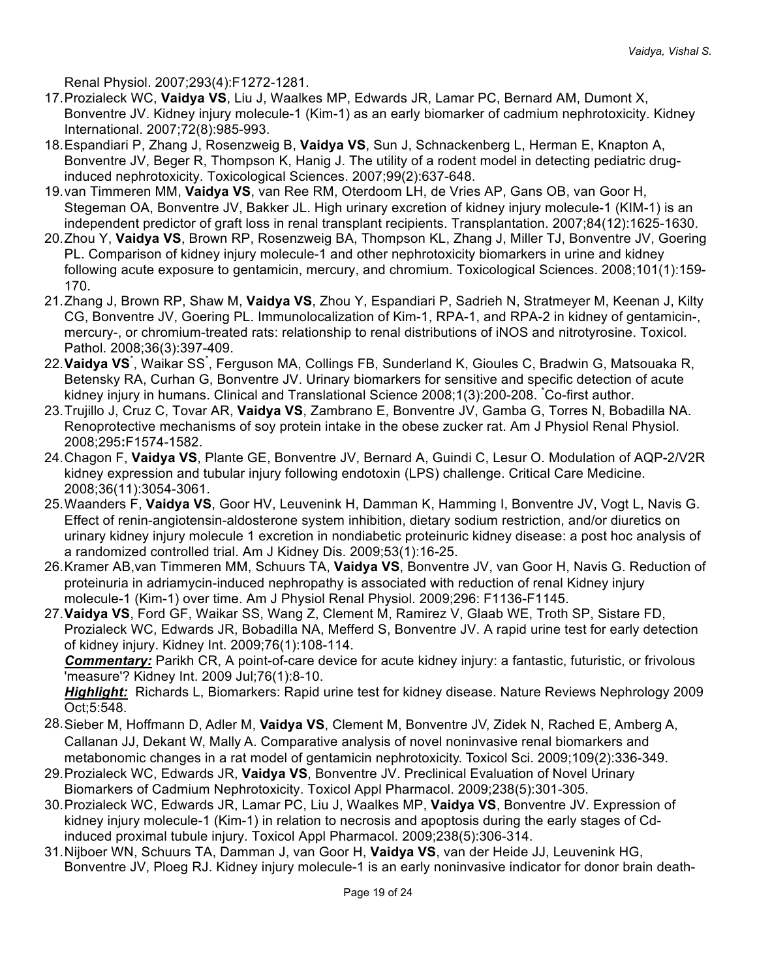Renal Physiol. 2007;293(4):F1272-1281.

- 17.Prozialeck WC, **Vaidya VS**, Liu J, Waalkes MP, Edwards JR, Lamar PC, Bernard AM, Dumont X, Bonventre JV. Kidney injury molecule-1 (Kim-1) as an early biomarker of cadmium nephrotoxicity. Kidney International. 2007;72(8):985-993.
- 18.Espandiari P, Zhang J, Rosenzweig B, **Vaidya VS**, Sun J, Schnackenberg L, Herman E, Knapton A, Bonventre JV, Beger R, Thompson K, Hanig J. The utility of a rodent model in detecting pediatric druginduced nephrotoxicity. Toxicological Sciences. 2007;99(2):637-648.
- 19.van Timmeren MM, **Vaidya VS**, van Ree RM, Oterdoom LH, de Vries AP, Gans OB, van Goor H, Stegeman OA, Bonventre JV, Bakker JL. High urinary excretion of kidney injury molecule-1 (KIM-1) is an independent predictor of graft loss in renal transplant recipients. Transplantation. 2007;84(12):1625-1630.
- 20.Zhou Y, **Vaidya VS**, Brown RP, Rosenzweig BA, Thompson KL, Zhang J, Miller TJ, Bonventre JV, Goering PL. Comparison of kidney injury molecule-1 and other nephrotoxicity biomarkers in urine and kidney following acute exposure to gentamicin, mercury, and chromium. Toxicological Sciences. 2008;101(1):159- 170.
- 21.Zhang J, Brown RP, Shaw M, **Vaidya VS**, Zhou Y, Espandiari P, Sadrieh N, Stratmeyer M, Keenan J, Kilty CG, Bonventre JV, Goering PL. Immunolocalization of Kim-1, RPA-1, and RPA-2 in kidney of gentamicin-, mercury-, or chromium-treated rats: relationship to renal distributions of iNOS and nitrotyrosine. Toxicol. Pathol. 2008;36(3):397-409.
- 22. **Vaidya VS**<sup>\*</sup>, Waikar SS<sup>\*</sup>, Ferguson MA, Collings FB, Sunderland K, Gioules C, Bradwin G, Matsouaka R, Betensky RA, Curhan G, Bonventre JV. Urinary biomarkers for sensitive and specific detection of acute kidney injury in humans. Clinical and Translational Science 2008;1(3):200-208. \* Co-first author.
- 23.Trujillo J, Cruz C, Tovar AR, **Vaidya VS**, Zambrano E, Bonventre JV, Gamba G, Torres N, Bobadilla NA. Renoprotective mechanisms of soy protein intake in the obese zucker rat. Am J Physiol Renal Physiol. 2008;295**:**F1574-1582.
- 24.Chagon F, **Vaidya VS**, Plante GE, Bonventre JV, Bernard A, Guindi C, Lesur O. Modulation of AQP-2/V2R kidney expression and tubular injury following endotoxin (LPS) challenge. Critical Care Medicine. 2008;36(11):3054-3061.
- 25.Waanders F, **Vaidya VS**, Goor HV, Leuvenink H, Damman K, Hamming I, Bonventre JV, Vogt L, Navis G. Effect of renin-angiotensin-aldosterone system inhibition, dietary sodium restriction, and/or diuretics on urinary kidney injury molecule 1 excretion in nondiabetic proteinuric kidney disease: a post hoc analysis of a randomized controlled trial. Am J Kidney Dis. 2009;53(1):16-25.
- 26.Kramer AB,van Timmeren MM, Schuurs TA, **Vaidya VS**, Bonventre JV, van Goor H, Navis G. Reduction of proteinuria in adriamycin-induced nephropathy is associated with reduction of renal Kidney injury molecule-1 (Kim-1) over time. Am J Physiol Renal Physiol. 2009;296: F1136-F1145.
- 27.**Vaidya VS**, Ford GF, Waikar SS, Wang Z, Clement M, Ramirez V, Glaab WE, Troth SP, Sistare FD, Prozialeck WC, Edwards JR, Bobadilla NA, Mefferd S, Bonventre JV. A rapid urine test for early detection of kidney injury. Kidney Int. 2009;76(1):108-114.

*Commentary:* Parikh CR, A point-of-care device for acute kidney injury: a fantastic, futuristic, or frivolous 'measure'? Kidney Int. 2009 Jul;76(1):8-10.

*Highlight:* Richards L, Biomarkers: Rapid urine test for kidney disease. Nature Reviews Nephrology 2009 Oct;5:548.

- 28.Sieber M, Hoffmann D, Adler M, **Vaidya VS**, Clement M, Bonventre JV, Zidek N, Rached E, Amberg A, Callanan JJ, Dekant W, Mally A. Comparative analysis of novel noninvasive renal biomarkers and metabonomic changes in a rat model of gentamicin nephrotoxicity. Toxicol Sci. 2009;109(2):336-349.
- 29.Prozialeck WC, Edwards JR, **Vaidya VS**, Bonventre JV. Preclinical Evaluation of Novel Urinary Biomarkers of Cadmium Nephrotoxicity. Toxicol Appl Pharmacol. 2009;238(5):301-305.
- 30.Prozialeck WC, Edwards JR, Lamar PC, Liu J, Waalkes MP, **Vaidya VS**, Bonventre JV. Expression of kidney injury molecule-1 (Kim-1) in relation to necrosis and apoptosis during the early stages of Cdinduced proximal tubule injury. Toxicol Appl Pharmacol. 2009;238(5):306-314.
- 31.Nijboer WN, Schuurs TA, Damman J, van Goor H, **Vaidya VS**, van der Heide JJ, Leuvenink HG, Bonventre JV, Ploeg RJ. Kidney injury molecule-1 is an early noninvasive indicator for donor brain death-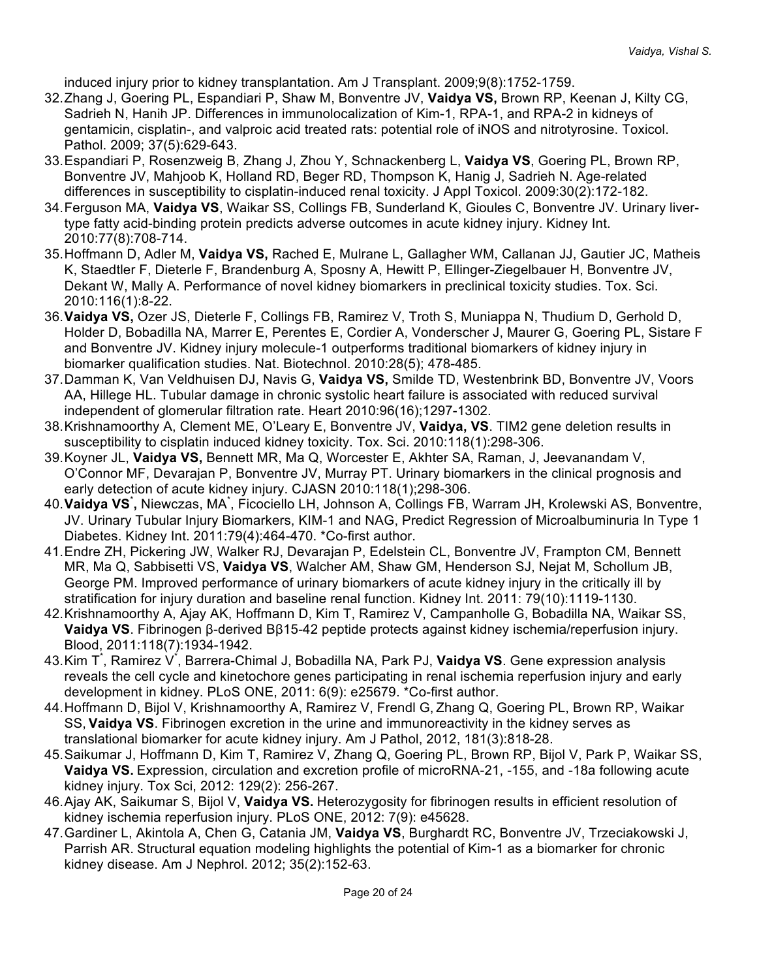induced injury prior to kidney transplantation. Am J Transplant. 2009;9(8):1752-1759.

- 32.Zhang J, Goering PL, Espandiari P, Shaw M, Bonventre JV, **Vaidya VS,** Brown RP, Keenan J, Kilty CG, Sadrieh N, Hanih JP. Differences in immunolocalization of Kim-1, RPA-1, and RPA-2 in kidneys of gentamicin, cisplatin-, and valproic acid treated rats: potential role of iNOS and nitrotyrosine. Toxicol. Pathol. 2009; 37(5):629-643.
- 33.Espandiari P, Rosenzweig B, Zhang J, Zhou Y, Schnackenberg L, **Vaidya VS**, Goering PL, Brown RP, Bonventre JV, Mahjoob K, Holland RD, Beger RD, Thompson K, Hanig J, Sadrieh N. Age-related differences in susceptibility to cisplatin-induced renal toxicity. J Appl Toxicol. 2009:30(2):172-182.
- 34.Ferguson MA, **Vaidya VS**, Waikar SS, Collings FB, Sunderland K, Gioules C, Bonventre JV. Urinary livertype fatty acid-binding protein predicts adverse outcomes in acute kidney injury. Kidney Int. 2010:77(8):708-714.
- 35. Hoffmann D, Adler M, **Vaidya VS,** Rached E, Mulrane L, Gallagher WM, Callanan JJ, Gautier JC, Matheis K, Staedtler F, Dieterle F, Brandenburg A, Sposny A, Hewitt P, Ellinger-Ziegelbauer H, Bonventre JV, Dekant W, Mally A. Performance of novel kidney biomarkers in preclinical toxicity studies. Tox. Sci. 2010:116(1):8-22.
- 36.**Vaidya VS,** Ozer JS, Dieterle F, Collings FB, Ramirez V, Troth S, Muniappa N, Thudium D, Gerhold D, Holder D, Bobadilla NA, Marrer E, Perentes E, Cordier A, Vonderscher J, Maurer G, Goering PL, Sistare F and Bonventre JV. Kidney injury molecule-1 outperforms traditional biomarkers of kidney injury in biomarker qualification studies. Nat. Biotechnol. 2010:28(5); 478-485.
- 37.Damman K, Van Veldhuisen DJ, Navis G, **Vaidya VS,** Smilde TD, Westenbrink BD, Bonventre JV, Voors AA, Hillege HL. Tubular damage in chronic systolic heart failure is associated with reduced survival independent of glomerular filtration rate. Heart 2010:96(16);1297-1302.
- 38.Krishnamoorthy A, Clement ME, O'Leary E, Bonventre JV, **Vaidya, VS**. TIM2 gene deletion results in susceptibility to cisplatin induced kidney toxicity. Tox. Sci. 2010:118(1):298-306.
- 39.Koyner JL, **Vaidya VS,** Bennett MR, Ma Q, Worcester E, Akhter SA, Raman, J, Jeevanandam V, O'Connor MF, Devarajan P, Bonventre JV, Murray PT. Urinary biomarkers in the clinical prognosis and early detection of acute kidney injury. CJASN 2010:118(1);298-306.
- 40.**Vaidya VS**\* **,** Niewczas, MA\* , Ficociello LH, Johnson A, Collings FB, Warram JH, Krolewski AS, Bonventre, JV. Urinary Tubular Injury Biomarkers, KIM-1 and NAG, Predict Regression of Microalbuminuria In Type 1 Diabetes. Kidney Int. 2011:79(4):464-470. \*Co-first author.
- 41.Endre ZH, Pickering JW, Walker RJ, Devarajan P, Edelstein CL, Bonventre JV, Frampton CM, Bennett MR, Ma Q, Sabbisetti VS, **Vaidya VS**, Walcher AM, Shaw GM, Henderson SJ, Nejat M, Schollum JB, George PM. Improved performance of urinary biomarkers of acute kidney injury in the critically ill by stratification for injury duration and baseline renal function. Kidney Int. 2011: 79(10):1119-1130.
- 42.Krishnamoorthy A, Ajay AK, Hoffmann D, Kim T, Ramirez V, Campanholle G, Bobadilla NA, Waikar SS, **Vaidya VS**. Fibrinogen β-derived Bβ15-42 peptide protects against kidney ischemia/reperfusion injury. Blood, 2011:118(7):1934-1942.
- 43.Kim T<sup>\*</sup>, Ramirez V<sup>\*</sup>, Barrera-Chimal J, Bobadilla NA, Park PJ, **Vaidya VS**. Gene expression analysis reveals the cell cycle and kinetochore genes participating in renal ischemia reperfusion injury and early development in kidney. PLoS ONE, 2011: 6(9): e25679. \*Co-first author.
- 44.Hoffmann D, Bijol V, Krishnamoorthy A, Ramirez V, Frendl G, Zhang Q, Goering PL, Brown RP, Waikar SS, **Vaidya VS**. Fibrinogen excretion in the urine and immunoreactivity in the kidney serves as translational biomarker for acute kidney injury. Am J Pathol, 2012, 181(3):818-28.
- 45.Saikumar J, Hoffmann D, Kim T, Ramirez V, Zhang Q, Goering PL, Brown RP, Bijol V, Park P, Waikar SS, **Vaidya VS.** Expression, circulation and excretion profile of microRNA-21, -155, and -18a following acute kidney injury. Tox Sci, 2012: 129(2): 256-267.
- 46. Ajay AK, Saikumar S, Bijol V, **Vaidya VS.** Heterozygosity for fibrinogen results in efficient resolution of kidney ischemia reperfusion injury. PLoS ONE, 2012: 7(9): e45628.
- 47.Gardiner L, Akintola A, Chen G, Catania JM, **Vaidya VS**, Burghardt RC, Bonventre JV, Trzeciakowski J, Parrish AR. Structural equation modeling highlights the potential of Kim-1 as a biomarker for chronic kidney disease. Am J Nephrol. 2012; 35(2):152-63.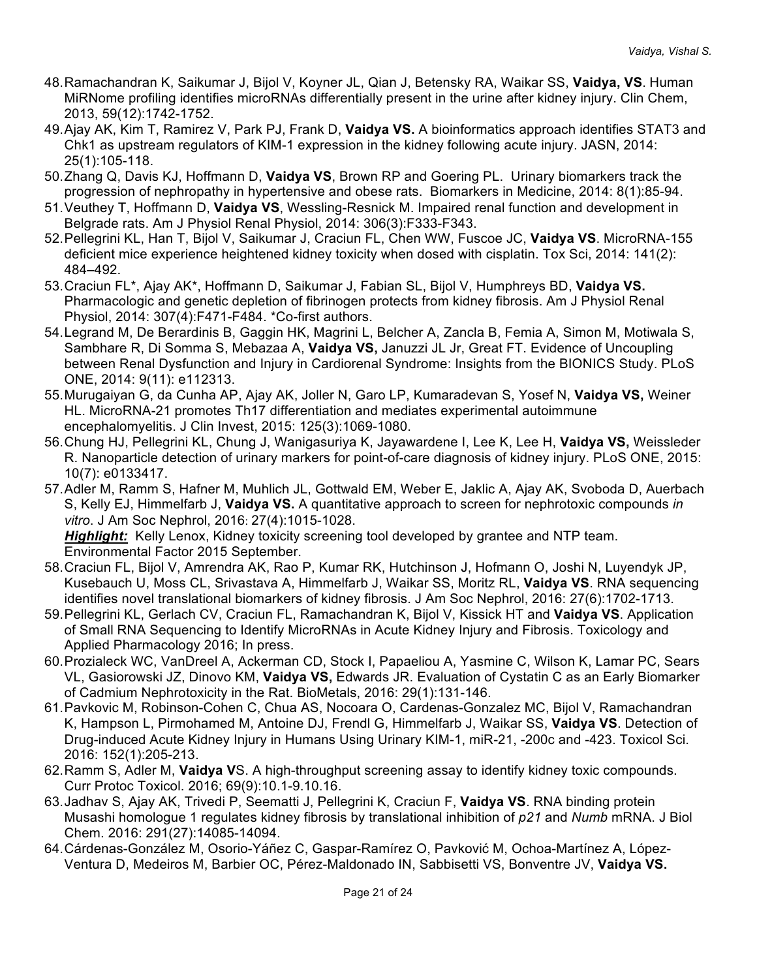- 48.Ramachandran K, Saikumar J, Bijol V, Koyner JL, Qian J, Betensky RA, Waikar SS, **Vaidya, VS**. Human MiRNome profiling identifies microRNAs differentially present in the urine after kidney injury. Clin Chem, 2013, 59(12):1742-1752.
- 49.Ajay AK, Kim T, Ramirez V, Park PJ, Frank D, **Vaidya VS.** A bioinformatics approach identifies STAT3 and Chk1 as upstream regulators of KIM-1 expression in the kidney following acute injury. JASN, 2014: 25(1):105-118.
- 50.Zhang Q, Davis KJ, Hoffmann D, **Vaidya VS**, Brown RP and Goering PL. Urinary biomarkers track the progression of nephropathy in hypertensive and obese rats. Biomarkers in Medicine, 2014: 8(1):85-94.
- 51.Veuthey T, Hoffmann D, **Vaidya VS**, Wessling-Resnick M. Impaired renal function and development in Belgrade rats. Am J Physiol Renal Physiol, 2014: 306(3):F333-F343.
- 52.Pellegrini KL, Han T, Bijol V, Saikumar J, Craciun FL, Chen WW, Fuscoe JC, **Vaidya VS**. MicroRNA-155 deficient mice experience heightened kidney toxicity when dosed with cisplatin. Tox Sci, 2014: 141(2): 484–492.
- 53.Craciun FL\*, Ajay AK\*, Hoffmann D, Saikumar J, Fabian SL, Bijol V, Humphreys BD, **Vaidya VS.** Pharmacologic and genetic depletion of fibrinogen protects from kidney fibrosis. Am J Physiol Renal Physiol, 2014: 307(4):F471-F484. \*Co-first authors.
- 54.Legrand M, De Berardinis B, Gaggin HK, Magrini L, Belcher A, Zancla B, Femia A, Simon M, Motiwala S, Sambhare R, Di Somma S, Mebazaa A, **Vaidya VS,** Januzzi JL Jr, Great FT. Evidence of Uncoupling between Renal Dysfunction and Injury in Cardiorenal Syndrome: Insights from the BIONICS Study. PLoS ONE, 2014: 9(11): e112313.
- 55.Murugaiyan G, da Cunha AP, Ajay AK, Joller N, Garo LP, Kumaradevan S, Yosef N, **Vaidya VS,** Weiner HL. MicroRNA-21 promotes Th17 differentiation and mediates experimental autoimmune encephalomyelitis. J Clin Invest, 2015: 125(3):1069-1080.
- 56.Chung HJ, Pellegrini KL, Chung J, Wanigasuriya K, Jayawardene I, Lee K, Lee H, **Vaidya VS,** Weissleder R. Nanoparticle detection of urinary markers for point-of-care diagnosis of kidney injury. PLoS ONE, 2015: 10(7): e0133417.
- 57.Adler M, Ramm S, Hafner M, Muhlich JL, Gottwald EM, Weber E, Jaklic A, Ajay AK, Svoboda D, Auerbach S, Kelly EJ, Himmelfarb J, **Vaidya VS.** A quantitative approach to screen for nephrotoxic compounds *in vitro*. J Am Soc Nephrol, 2016: 27(4):1015-1028.

*Highlight:* Kelly Lenox, Kidney toxicity screening tool developed by grantee and NTP team. Environmental Factor 2015 September.

- 58.Craciun FL, Bijol V, Amrendra AK, Rao P, Kumar RK, Hutchinson J, Hofmann O, Joshi N, Luyendyk JP, Kusebauch U, Moss CL, Srivastava A, Himmelfarb J, Waikar SS, Moritz RL, **Vaidya VS**. RNA sequencing identifies novel translational biomarkers of kidney fibrosis. J Am Soc Nephrol, 2016: 27(6):1702-1713.
- 59.Pellegrini KL, Gerlach CV, Craciun FL, Ramachandran K, Bijol V, Kissick HT and **Vaidya VS**. Application of Small RNA Sequencing to Identify MicroRNAs in Acute Kidney Injury and Fibrosis. Toxicology and Applied Pharmacology 2016; In press.
- 60.Prozialeck WC, VanDreel A, Ackerman CD, Stock I, Papaeliou A, Yasmine C, Wilson K, Lamar PC, Sears VL, Gasiorowski JZ, Dinovo KM, **Vaidya VS,** Edwards JR. Evaluation of Cystatin C as an Early Biomarker of Cadmium Nephrotoxicity in the Rat. BioMetals, 2016: 29(1):131-146.
- 61.Pavkovic M, Robinson-Cohen C, Chua AS, Nocoara O, Cardenas-Gonzalez MC, Bijol V, Ramachandran K, Hampson L, Pirmohamed M, Antoine DJ, Frendl G, Himmelfarb J, Waikar SS, **Vaidya VS**. Detection of Drug-induced Acute Kidney Injury in Humans Using Urinary KIM-1, miR-21, -200c and -423. Toxicol Sci. 2016: 152(1):205-213.
- 62.Ramm S, Adler M, **Vaidya V**S. A high-throughput screening assay to identify kidney toxic compounds. Curr Protoc Toxicol. 2016; 69(9):10.1-9.10.16.
- 63.Jadhav S, Ajay AK, Trivedi P, Seematti J, Pellegrini K, Craciun F, **Vaidya VS**. RNA binding protein Musashi homologue 1 regulates kidney fibrosis by translational inhibition of *p21* and *Numb* mRNA. J Biol Chem. 2016: 291(27):14085-14094.
- 64.Cárdenas-González M, Osorio-Yáñez C, Gaspar-Ramírez O, Pavković M, Ochoa-Martínez A, López-Ventura D, Medeiros M, Barbier OC, Pérez-Maldonado IN, Sabbisetti VS, Bonventre JV, **Vaidya VS.**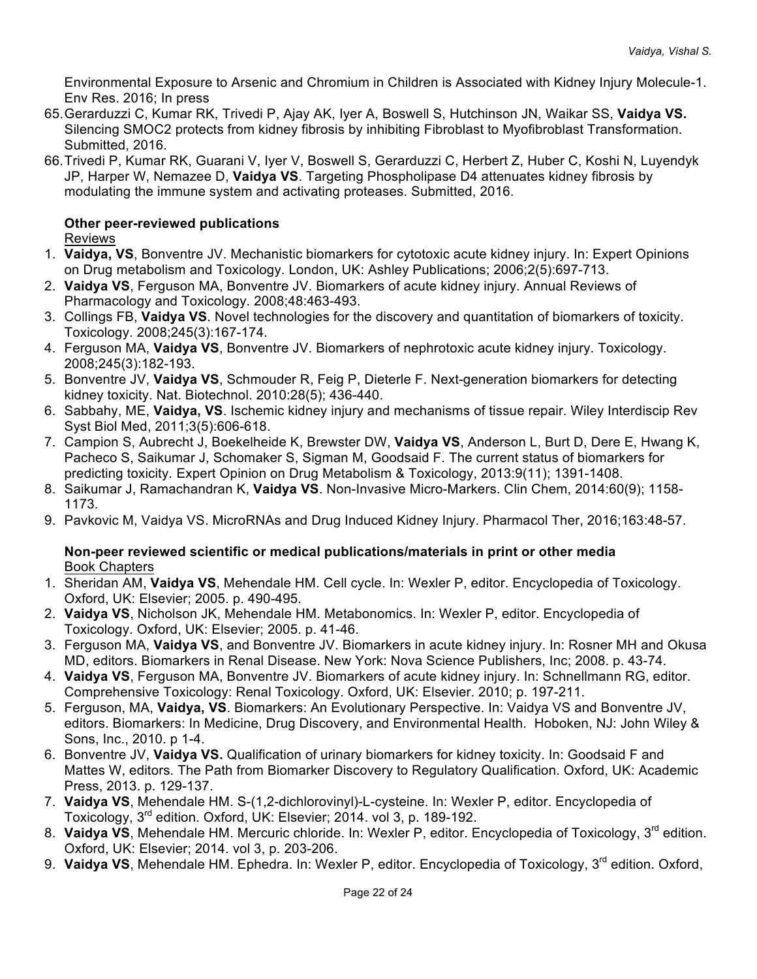Environmental Exposure to Arsenic and Chromium in Children is Associated with Kidney Injury Molecule-1. Env Res. 2016; In press

- 65.Gerarduzzi C, Kumar RK, Trivedi P, Ajay AK, Iyer A, Boswell S, Hutchinson JN, Waikar SS, **Vaidya VS.** Silencing SMOC2 protects from kidney fibrosis by inhibiting Fibroblast to Myofibroblast Transformation. Submitted, 2016.
- 66.Trivedi P, Kumar RK, Guarani V, Iyer V, Boswell S, Gerarduzzi C, Herbert Z, Huber C, Koshi N, Luyendyk JP, Harper W, Nemazee D, **Vaidya VS**. Targeting Phospholipase D4 attenuates kidney fibrosis by modulating the immune system and activating proteases. Submitted, 2016.

# **Other peer-reviewed publications**

Reviews

- 1. **Vaidya, VS**, Bonventre JV. Mechanistic biomarkers for cytotoxic acute kidney injury. In: Expert Opinions on Drug metabolism and Toxicology. London, UK: Ashley Publications; 2006;2(5):697-713.
- 2. **Vaidya VS**, Ferguson MA, Bonventre JV. Biomarkers of acute kidney injury. Annual Reviews of Pharmacology and Toxicology. 2008;48:463-493.
- 3. Collings FB, **Vaidya VS**. Novel technologies for the discovery and quantitation of biomarkers of toxicity. Toxicology. 2008;245(3):167-174.
- 4. Ferguson MA, **Vaidya VS**, Bonventre JV. Biomarkers of nephrotoxic acute kidney injury. Toxicology. 2008;245(3):182-193.
- 5. Bonventre JV, **Vaidya VS**, Schmouder R, Feig P, Dieterle F. Next-generation biomarkers for detecting kidney toxicity. Nat. Biotechnol. 2010:28(5); 436-440.
- 6. Sabbahy, ME, **Vaidya, VS**. Ischemic kidney injury and mechanisms of tissue repair. Wiley Interdiscip Rev Syst Biol Med, 2011;3(5):606-618.
- 7. Campion S, Aubrecht J, Boekelheide K, Brewster DW, **Vaidya VS**, Anderson L, Burt D, Dere E, Hwang K, Pacheco S, Saikumar J, Schomaker S, Sigman M, Goodsaid F. The current status of biomarkers for predicting toxicity. Expert Opinion on Drug Metabolism & Toxicology, 2013:9(11); 1391-1408.
- 8. Saikumar J, Ramachandran K, **Vaidya VS**. Non-Invasive Micro-Markers. Clin Chem, 2014:60(9); 1158- 1173.
- 9. Pavkovic M, Vaidya VS. MicroRNAs and Drug Induced Kidney Injury. Pharmacol Ther, 2016;163:48-57.

### **Non-peer reviewed scientific or medical publications/materials in print or other media** Book Chapters

- 1. Sheridan AM, **Vaidya VS**, Mehendale HM. Cell cycle. In: Wexler P, editor. Encyclopedia of Toxicology. Oxford, UK: Elsevier; 2005. p. 490-495.
- 2. **Vaidya VS**, Nicholson JK, Mehendale HM. Metabonomics. In: Wexler P, editor. Encyclopedia of Toxicology. Oxford, UK: Elsevier; 2005. p. 41-46.
- 3. Ferguson MA, **Vaidya VS**, and Bonventre JV. Biomarkers in acute kidney injury. In: Rosner MH and Okusa MD, editors. Biomarkers in Renal Disease. New York: Nova Science Publishers, Inc; 2008. p. 43-74.
- 4. **Vaidya VS**, Ferguson MA, Bonventre JV. Biomarkers of acute kidney injury. In: Schnellmann RG, editor. Comprehensive Toxicology: Renal Toxicology. Oxford, UK: Elsevier. 2010; p. 197-211.
- 5. Ferguson, MA, **Vaidya, VS**. Biomarkers: An Evolutionary Perspective. In: Vaidya VS and Bonventre JV, editors. Biomarkers: In Medicine, Drug Discovery, and Environmental Health. Hoboken, NJ: John Wiley & Sons, Inc., 2010. p 1-4.
- 6. Bonventre JV, **Vaidya VS.** Qualification of urinary biomarkers for kidney toxicity. In: Goodsaid F and Mattes W, editors. The Path from Biomarker Discovery to Regulatory Qualification. Oxford, UK: Academic Press, 2013. p. 129-137.
- 7. **Vaidya VS**, Mehendale HM. S-(1,2-dichlorovinyl)-L-cysteine. In: Wexler P, editor. Encyclopedia of Toxicology, 3<sup>rd</sup> edition. Oxford, UK: Elsevier; 2014. vol 3, p. 189-192.
- 8. **Vaidya VS**, Mehendale HM. Mercuric chloride. In: Wexler P, editor. Encyclopedia of Toxicology, 3<sup>rd</sup> edition. Oxford, UK: Elsevier; 2014. vol 3, p. 203-206.
- 9. Vaidya VS, Mehendale HM. Ephedra. In: Wexler P, editor. Encyclopedia of Toxicology, 3<sup>rd</sup> edition. Oxford.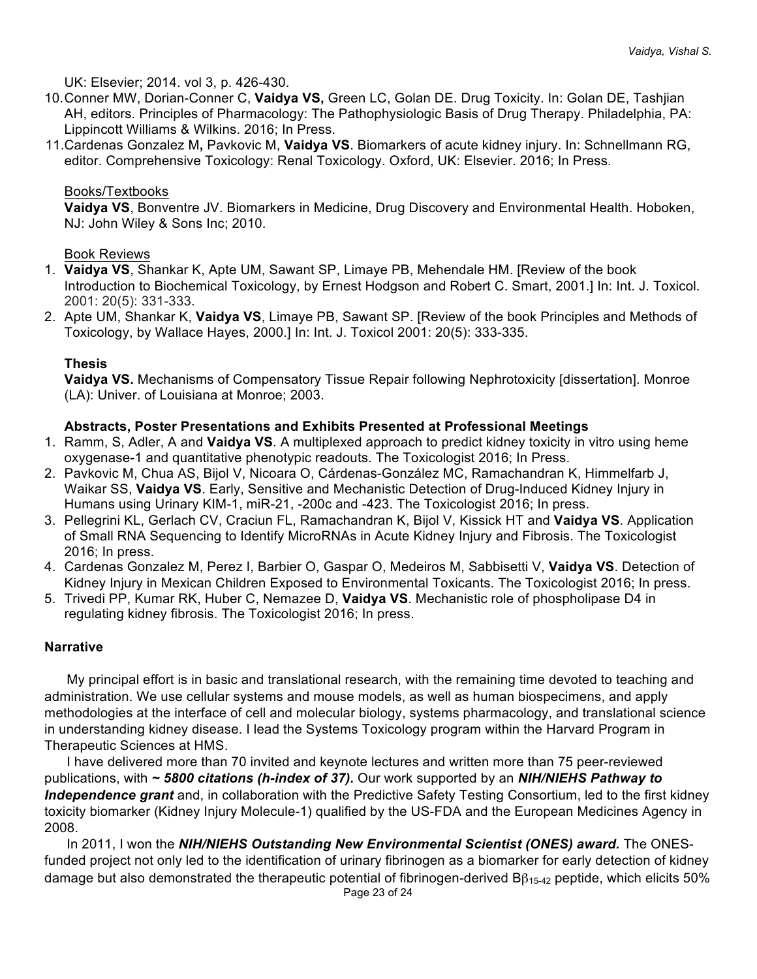UK: Elsevier; 2014. vol 3, p. 426-430.

- 10.Conner MW, Dorian-Conner C, **Vaidya VS,** Green LC, Golan DE. Drug Toxicity. In: Golan DE, Tashjian AH, editors. Principles of Pharmacology: The Pathophysiologic Basis of Drug Therapy. Philadelphia, PA: Lippincott Williams & Wilkins. 2016; In Press.
- 11.Cardenas Gonzalez M**,** Pavkovic M, **Vaidya VS**. Biomarkers of acute kidney injury. In: Schnellmann RG, editor. Comprehensive Toxicology: Renal Toxicology. Oxford, UK: Elsevier. 2016; In Press.

### Books/Textbooks

**Vaidya VS**, Bonventre JV. Biomarkers in Medicine, Drug Discovery and Environmental Health. Hoboken, NJ: John Wiley & Sons Inc; 2010.

## Book Reviews

- 1. **Vaidya VS**, Shankar K, Apte UM, Sawant SP, Limaye PB, Mehendale HM. [Review of the book Introduction to Biochemical Toxicology, by Ernest Hodgson and Robert C. Smart, 2001.] In: Int. J. Toxicol. 2001: 20(5): 331-333.
- 2. Apte UM, Shankar K, **Vaidya VS**, Limaye PB, Sawant SP. [Review of the book Principles and Methods of Toxicology, by Wallace Hayes, 2000.] In: Int. J. Toxicol 2001: 20(5): 333-335.

## **Thesis**

**Vaidya VS.** Mechanisms of Compensatory Tissue Repair following Nephrotoxicity [dissertation]. Monroe (LA): Univer. of Louisiana at Monroe; 2003.

## **Abstracts, Poster Presentations and Exhibits Presented at Professional Meetings**

- 1. Ramm, S, Adler, A and **Vaidya VS**. A multiplexed approach to predict kidney toxicity in vitro using heme oxygenase-1 and quantitative phenotypic readouts. The Toxicologist 2016; In Press.
- 2. Pavkovic M, Chua AS, Bijol V, Nicoara O, Cárdenas-González MC, Ramachandran K, Himmelfarb J, Waikar SS, **Vaidya VS**. Early, Sensitive and Mechanistic Detection of Drug-Induced Kidney Injury in Humans using Urinary KIM-1, miR-21, -200c and -423. The Toxicologist 2016; In press.
- 3. Pellegrini KL, Gerlach CV, Craciun FL, Ramachandran K, Bijol V, Kissick HT and **Vaidya VS**. Application of Small RNA Sequencing to Identify MicroRNAs in Acute Kidney Injury and Fibrosis. The Toxicologist 2016; In press.
- 4. Cardenas Gonzalez M, Perez I, Barbier O, Gaspar O, Medeiros M, Sabbisetti V, **Vaidya VS**. Detection of Kidney Injury in Mexican Children Exposed to Environmental Toxicants. The Toxicologist 2016; In press.
- 5. Trivedi PP, Kumar RK, Huber C, Nemazee D, **Vaidya VS**. Mechanistic role of phospholipase D4 in regulating kidney fibrosis. The Toxicologist 2016; In press.

# **Narrative**

My principal effort is in basic and translational research, with the remaining time devoted to teaching and administration. We use cellular systems and mouse models, as well as human biospecimens, and apply methodologies at the interface of cell and molecular biology, systems pharmacology, and translational science in understanding kidney disease. I lead the Systems Toxicology program within the Harvard Program in Therapeutic Sciences at HMS.

I have delivered more than 70 invited and keynote lectures and written more than 75 peer-reviewed publications, with *~ 5800 citations (h-index of 37).* Our work supported by an *NIH/NIEHS Pathway to Independence grant* and, in collaboration with the Predictive Safety Testing Consortium, led to the first kidney toxicity biomarker (Kidney Injury Molecule-1) qualified by the US-FDA and the European Medicines Agency in 2008.

In 2011, I won the **NIH/NIEHS Outstanding New Environmental Scientist (ONES) award.** The ONESfunded project not only led to the identification of urinary fibrinogen as a biomarker for early detection of kidney damage but also demonstrated the therapeutic potential of fibrinogen-derived  $B\beta_{15-42}$  peptide, which elicits 50%